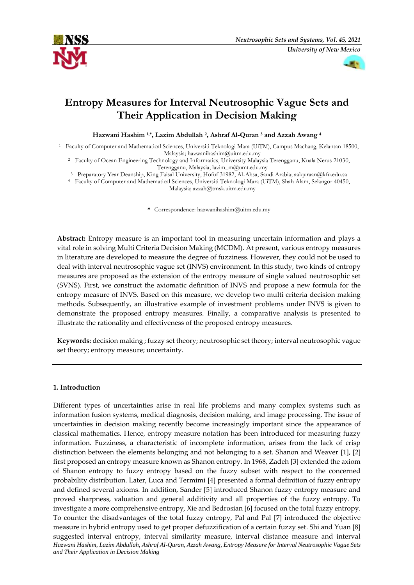



# **Entropy Measures for Interval Neutrosophic Vague Sets and Their Application in Decision Making**

**Hazwani Hashim 1,\*, Lazim Abdullah <sup>2</sup> , Ashraf Al-Quran <sup>3</sup> and Azzah Awang <sup>4</sup>**

<sup>1</sup> Faculty of Computer and Mathematical Sciences, Universiti Teknologi Mara (UiTM), Campus Machang, Kelantan 18500, Malaysia; hazwanihashim@uitm.edu.my

<sup>2</sup> Faculty of Ocean Engineering Technology and Informatics, University Malaysia Terengganu, Kuala Nerus 21030, Terengganu, Malaysia[; lazim\\_m@umt.edu.my](mailto:lazim_m@umt.edu.my)

<sup>3</sup> Preparatory Year Deanship, King Faisal University, Hofuf 31982, Al-Ahsa, Saudi Arabia; aalquraan@kfu.edu.sa

<sup>4</sup> Faculty of Computer and Mathematical Sciences, Universiti Teknologi Mara (UiTM), Shah Alam, Selangor 40450, Malaysia; azzah@tmsk.uitm.edu.my

**\*** Correspondence: hazwanihashim@uitm.edu.my

**Abstract:** Entropy measure is an important tool in measuring uncertain information and plays a vital role in solving Multi Criteria Decision Making (MCDM). At present, various entropy measures in literature are developed to measure the degree of fuzziness. However, they could not be used to deal with interval neutrosophic vague set (INVS) environment. In this study, two kinds of entropy measures are proposed as the extension of the entropy measure of single valued neutrosophic set (SVNS). First, we construct the axiomatic definition of INVS and propose a new formula for the entropy measure of INVS. Based on this measure, we develop two multi criteria decision making methods. Subsequently, an illustrative example of investment problems under INVS is given to demonstrate the proposed entropy measures. Finally, a comparative analysis is presented to illustrate the rationality and effectiveness of the proposed entropy measures.

**Keywords:** decision making ; fuzzy set theory; neutrosophic set theory; interval neutrosophic vague set theory; entropy measure; uncertainty.

# **1. Introduction**

*Hazwani Hashim, Lazim Abdullah, Ashraf Al-Quran, Azzah Awang, Entropy Measure for Interval Neutrosophic Vague Sets and Their Application in Decision Making*  Different types of uncertainties arise in real life problems and many complex systems such as information fusion systems, medical diagnosis, decision making, and image processing. The issue of uncertainties in decision making recently become increasingly important since the appearance of classical mathematics. Hence, entropy measure notation has been introduced for measuring fuzzy information. Fuzziness, a characteristic of incomplete information, arises from the lack of crisp distinction between the elements belonging and not belonging to a set. Shanon and Weaver [1], [2] first proposed an entropy measure known as Shanon entropy. In 1968, Zadeh [3] extended the axiom of Shanon entropy to fuzzy entropy based on the fuzzy subset with respect to the concerned probability distribution. Later, Luca and Termimi [4] presented a formal definition of fuzzy entropy and defined several axioms. In addition, Sander [5] introduced Shanon fuzzy entropy measure and proved sharpness, valuation and general additivity and all properties of the fuzzy entropy. To investigate a more comprehensive entropy, Xie and Bedrosian [6] focused on the total fuzzy entropy. To counter the disadvantages of the total fuzzy entropy, Pal and Pal [7] introduced the objective measure in hybrid entropy used to get proper defuzzification of a certain fuzzy set. Shi and Yuan [8] suggested interval entropy, interval similarity measure, interval distance measure and interval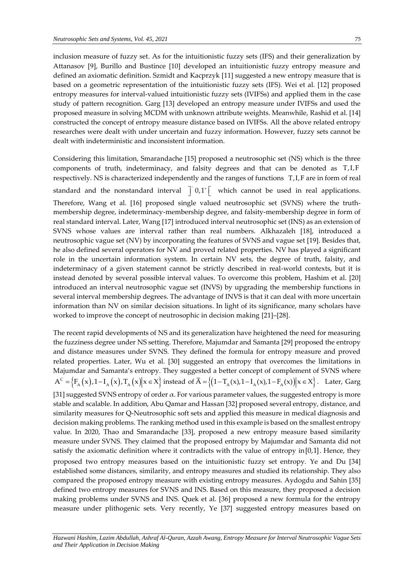inclusion measure of fuzzy set. As for the intuitionistic fuzzy sets (IFS) and their generalization by Attanasov [9], Burillo and Bustince [10] developed an intuitionistic fuzzy entropy measure and defined an axiomatic definition. Szmidt and Kacprzyk [11] suggested a new entropy measure that is based on a geometric representation of the intuitionistic fuzzy sets (IFS). Wei et al. [12] proposed entropy measures for interval-valued intuitionistic fuzzy sets (IVIFSs) and applied them in the case study of pattern recognition. Garg [13] developed an entropy measure under IVIFSs and used the proposed measure in solving MCDM with unknown attribute weights. Meanwhile, Rashid et al. [14] constructed the concept of entropy measure distance based on IVIFSs. All the above related entropy researches were dealt with under uncertain and fuzzy information. However, fuzzy sets cannot be dealt with indeterministic and inconsistent information.

Considering this limitation, Smarandache [15] proposed a neutrosophic set (NS) which is the three components of truth, indeterminacy, and falsity degrees and that can be denoted as T,I,F respectively. NS is characterized independently and the ranges of functions T,I,F are in form of real standard and the nonstandard interval  $\int$  0,1<sup>+</sup>  $\left[$  which cannot be used in real applications. Therefore, Wang et al. [16] proposed single valued neutrosophic set (SVNS) where the truthmembership degree, indeterminacy-membership degree, and falsity-membership degree in form of real standard interval. Later, Wang [17] introduced interval neutrosophic set (INS) as an extension of SVNS whose values are interval rather than real numbers. Alkhazaleh [18], introduced a neutrosophic vague set (NV) by incorporating the features of SVNS and vague set [19]. Besides that, he also defined several operators for NV and proved related properties. NV has played a significant role in the uncertain information system. In certain NV sets, the degree of truth, falsity, and indeterminacy of a given statement cannot be strictly described in real-world contexts, but it is instead denoted by several possible interval values. To overcome this problem, Hashim et al. [20] introduced an interval neutrosophic vague set (INVS) by upgrading the membership functions in several interval membership degrees. The advantage of INVS is that it can deal with more uncertain information than NV on similar decision situations. In light of its significance, many scholars have worked to improve the concept of neutrosophic in decision making [21]–[28].

The recent rapid developments of NS and its generalization have heightened the need for measuring the fuzziness degree under NS setting. Therefore, Majumdar and Samanta [29] proposed the entropy and distance measures under SVNS. They defined the formula for entropy measure and proved related properties. Later, Wu et al. [30] suggested an entropy that overcomes the limitations in Majumdar and Samanta's entropy. They suggested a better concept of complement of SVNS where Majumdar and Samanta's entropy. They suggested a better concept of complement of SVNS where  $A^C = \{F_A(x), 1 - I_A(x), T_A(x) | x \in X\}$  instead of  $\overline{A} = \{(1 - T_A(x), 1 - I_A(x), 1 - F_A(x)) | x \in X\}$ . Later, Garg [31] suggested SVNS entropy of order  $\alpha$ . For various parameter values, the suggested entropy is more stable and scalable. In addition, Abu Qamar and Hassan [32] proposed several entropy, distance, and similarity measures for Q-Neutrosophic soft sets and applied this measure in medical diagnosis and decision making problems. The ranking method used in this example is based on the smallest entropy value. In 2020, Thao and Smarandache [33], proposed a new entropy measure based similarity measure under SVNS. They claimed that the proposed entropy by Majumdar and Samanta did not satisfy the axiomatic definition where it contradicts with the value of entropy in [0,1] . Hence, they proposed two entropy measures based on the intuitionistic fuzzy set entropy. Ye and Du [34] established some distances, similarity, and entropy measures and studied its relationship. They also compared the proposed entropy measure with existing entropy measures. Aydogdu and Sahin [35] defined two entropy measures for SVNS and INS. Based on this measure, they proposed a decision making problems under SVNS and INS. Quek et al. [36] proposed a new formula for the entropy measure under plithogenic sets. Very recently, Ye [37] suggested entropy measures based on

*Hazwani Hashim, Lazim Abdullah, Ashraf Al-Quran, Azzah Awang, Entropy Measure for Interval Neutrosophic Vague Sets and Their Application in Decision Making*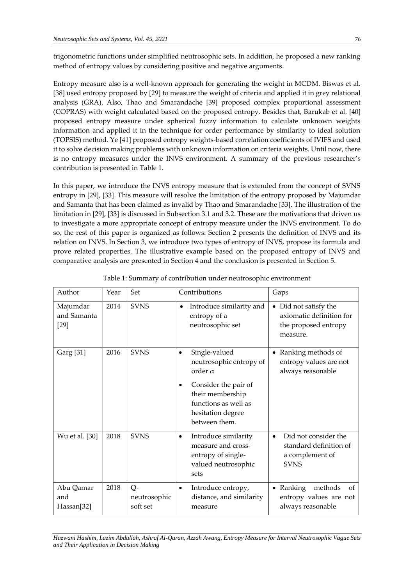trigonometric functions under simplified neutrosophic sets. In addition, he proposed a new ranking method of entropy values by considering positive and negative arguments.

Entropy measure also is a well-known approach for generating the weight in MCDM. Biswas et al. [38] used entropy proposed by [29] to measure the weight of criteria and applied it in grey relational analysis (GRA). Also, Thao and Smarandache [39] proposed complex proportional assessment (COPRAS) with weight calculated based on the proposed entropy. Besides that, Barukab et al. [40] proposed entropy measure under spherical fuzzy information to calculate unknown weights information and applied it in the technique for order performance by similarity to ideal solution (TOPSIS) method. Ye [41] proposed entropy weights-based correlation coefficients of IVIFS and used it to solve decision making problems with unknown information on criteria weights. Until now, there is no entropy measures under the INVS environment. A summary of the previous researcher's contribution is presented in Table 1.

In this paper, we introduce the INVS entropy measure that is extended from the concept of SVNS entropy in [29], [33]. This measure will resolve the limitation of the entropy proposed by Majumdar and Samanta that has been claimed as invalid by Thao and Smarandache [33]. The illustration of the limitation in [29], [33] is discussed in Subsection 3.1 and 3.2. These are the motivations that driven us to investigate a more appropriate concept of entropy measure under the INVS environment. To do so, the rest of this paper is organized as follows: Section 2 presents the definition of INVS and its relation on INVS. In Section 3, we introduce two types of entropy of INVS, propose its formula and prove related properties. The illustrative example based on the proposed entropy of INVS and comparative analysis are presented in Section 4 and the conclusion is presented in Section 5.

| Author                            | Year | Set                            | Contributions                                                                                                                                                                     | Gaps                                                                                  |
|-----------------------------------|------|--------------------------------|-----------------------------------------------------------------------------------------------------------------------------------------------------------------------------------|---------------------------------------------------------------------------------------|
| Majumdar<br>and Samanta<br>$[29]$ | 2014 | <b>SVNS</b>                    | Introduce similarity and<br>$\bullet$<br>entropy of a<br>neutrosophic set                                                                                                         | • Did not satisfy the<br>axiomatic definition for<br>the proposed entropy<br>measure. |
| Garg [31]                         | 2016 | <b>SVNS</b>                    | Single-valued<br>$\bullet$<br>neutrosophic entropy of<br>order $\alpha$<br>Consider the pair of<br>their membership<br>functions as well as<br>hesitation degree<br>between them. | • Ranking methods of<br>entropy values are not<br>always reasonable                   |
| Wu et al. [30]                    | 2018 | <b>SVNS</b>                    | Introduce similarity<br>٠<br>measure and cross-<br>entropy of single-<br>valued neutrosophic<br>sets                                                                              | Did not consider the<br>standard definition of<br>a complement of<br><b>SVNS</b>      |
| Abu Qamar<br>and<br>Hassan[32]    | 2018 | Q-<br>neutrosophic<br>soft set | Introduce entropy,<br>$\bullet$<br>distance, and similarity<br>measure                                                                                                            | • Ranking<br>methods<br>of<br>entropy values are not<br>always reasonable             |

Table 1: Summary of contribution under neutrosophic environment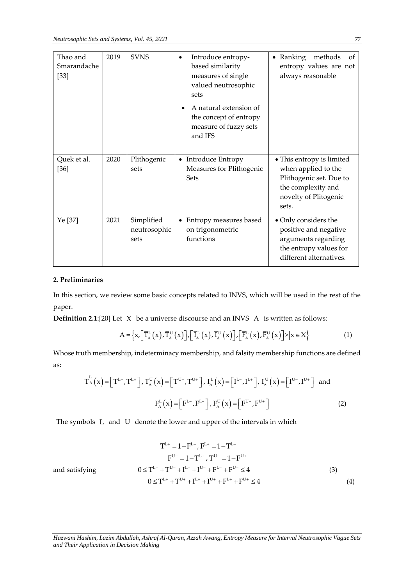| Thao and<br>Smarandache<br>$[33]$ | 2019 | <b>SVNS</b>                        | Introduce entropy-<br>based similarity<br>measures of single<br>valued neutrosophic<br>sets<br>A natural extension of<br>the concept of entropy<br>measure of fuzzy sets<br>and IFS | Ranking<br>methods<br>0f<br>entropy values are not<br>always reasonable                                                             |
|-----------------------------------|------|------------------------------------|-------------------------------------------------------------------------------------------------------------------------------------------------------------------------------------|-------------------------------------------------------------------------------------------------------------------------------------|
| Quek et al.<br>$[36]$             | 2020 | Plithogenic<br>sets                | Introduce Entropy<br>$\bullet$<br>Measures for Plithogenic<br><b>Sets</b>                                                                                                           | • This entropy is limited<br>when applied to the<br>Plithogenic set. Due to<br>the complexity and<br>novelty of Plitogenic<br>sets. |
| Ye [37]                           | 2021 | Simplified<br>neutrosophic<br>sets | Entropy measures based<br>on trigonometric<br>functions                                                                                                                             | • Only considers the<br>positive and negative<br>arguments regarding<br>the entropy values for<br>different alternatives.           |

# **2. Preliminaries**

In this section, we review some basic concepts related to INVS, which will be used in the rest of the paper.

**Definition 2.1:**[20] Let X be a universe discourse and an INVS A is written as follows:  
\n
$$
A = \left\{ x, \left[ \overline{T}_{A}^{L}(x), \overline{T}_{A}^{U}(x) \right], \left[ \overline{T}_{A}^{L}(x), \overline{T}_{A}^{U}(x) \right], \left[ \overline{F}_{A}^{L}(x), \overline{F}_{A}^{U}(x) \right] \right\} = x \tag{1}
$$

Whose truth membership, indeterminacy membership, and falsity membership functions are defined as:

$$
\overline{T}_{A}^{L}(x) = \left[T^{L-}, T^{L+}\right], \overline{T}_{A}^{U}(x) = \left[T^{U-}, T^{U+}\right], \overline{I}_{A}^{L}(x) = \left[I^{L-}, I^{L+}\right], \overline{I}_{A}^{U}(x) = \left[I^{U-}, I^{U+}\right] \text{ and}
$$
\n
$$
\overline{F}_{A}^{L}(x) = \left[F^{L-}, F^{L+}\right], \overline{F}_{A}^{U}(x) = \left[F^{U-}, F^{U+}\right] \tag{2}
$$

The symbols L and U denote the lower and upper of the intervals in which

$$
T^{L+} = 1 - F^{L-}, F^{L+} = 1 - T^{L-}
$$
\n
$$
F^{U-} = 1 - T^{U+}, T^{U-} = 1 - F^{U+}
$$
\nsatisfying\n
$$
0 \le T^{L-} + T^{U-} + I^{L-} + I^{U-} + F^{L-} + F^{U-} \le 4
$$
\n
$$
0 \le T^{L+} + T^{U+} + I^{L+} + I^{U+} + F^{L+} + F^{U+} \le 4
$$
\n(3)

and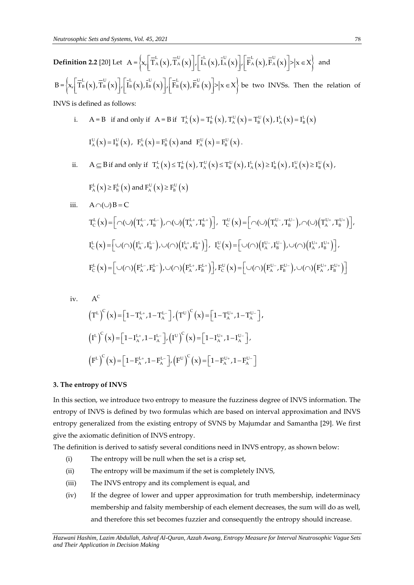**Definition 2.2** [20] Let  $A = \left\{ x, \left[ \overline{T}_A^L(x), \overline{T}_A^U(x) \right], \left[ \overline{I}_A^L(x), \overline{I}_A^U(x) \right], \left[ \overline{\overline{T}}_A^L(x), \overline{F}_A^U(x) \right] \right\} = \left\{ x, \left[ \overline{T}_A^L(x), \overline{T}_A^U(x) \right], \left[ \overline{T}_A^L(x), \overline{T}_A^U(x) \right] \right\}$ and **Definition** 2.2 [20] Let  $A = \left\{ x, \left[ \begin{array}{c} 1 \land (x), 1 \land (x) \end{array} \right], \left[ \begin{array}{c} 1 \land (x), 1 \land (x) \end{array} \right], \right\}$ <br>  $B = \left\{ x, \left[ \begin{array}{c} \overline{T}_{B}^{L}(x), \overline{T}_{B}^{U}(x) \end{array} \right], \left[ \begin{array}{c} \overline{T}_{B}^{L}(x), \overline{T}_{B}^{U}(x), \overline{T}_{B}^{U}(x) \end{array} \right], \left[ \begin{array}{c}$ be two INVSs. Then the relation of

INVS is defined as follows:

- i.  $A = B$  if and only if  $A = B$  if  $T_A^L(x) = T_B^L(x)$ ,  $T_A^U(x) = T_B^U(x)$ ,  $T_A^L(x) = I_B^L(x)$  $I_A^U(x) = I_B^U(x)$ ,  $F_A^L(x) = F_B^L(x)$  and  $F_A^U(x) = F_B^U(x)$ .
- ii.  $A \subseteq B$  if and only if  $T_A^L(x) \le T_B^L(x)$ ,  $T_A^U(x) \le T_B^U(x)$ ,  $T_A^L(x) \ge T_B^L(x)$ ,  $T_A^U(x) \ge T_B^U(x)$ ,

$$
F_{A}^{L}(x) \ge F_{B}^{L}(x)
$$
 and  $F_{A}^{U}(x) \ge F_{B}^{U}(x)$ 

$$
\begin{split} \text{iii.} \quad &A \cap (\cup) B = C \\ &T_{\text{C}}^{\text{L}}\left(x\right) {=} \Big[\cap (\cup) \Big(T_{\text{A}}^{\text{L-}}, T_{\text{B}}^{\text{L-}}\Big), \cap (\cup) \Big(T_{\text{A}}^{\text{L+}}, T_{\text{B}}^{\text{L+}}\Big)\Big], \quad T_{\text{C}}^{\text{U}}\left(x\right) {=} \Big[\cap (\cup) \Big(T_{\text{A}}^{\text{U-}}, T_{\text{B}}^{\text{U-}}\Big), \cap (\cup) \Big(T_{\text{A}}^{\text{U+}}, T_{\text{B}}^{\text{U+}}\Big)\Big], \\ &I_{\text{C}}^{\text{L}}\left(x\right) {=} \Big[\cup (\cap) \Big(T_{\text{A}}^{\text{L-}}, I_{\text{B}}^{\text{L-}}\Big), \cup (\cap) \Big(T_{\text{A}}^{\text{L+}}, I_{\text{B}}^{\text{L+}}\Big)\Big], \quad I_{\text{C}}^{\text{U}}\left(x\right) {=} \Big[\cup (\cap) \Big(T_{\text{A}}^{\text{U-}}, I_{\text{B}}^{\text{U-}}\Big), \cup (\cap) \Big(T_{\text{A}}^{\text{U+}}, I_{\text{B}}^{\text{U+}}\Big)\Big], \\ &F_{\text{C}}^{\text{L}}\left(x\right) {=} \Big[\cup (\cap) \Big(F_{\text{A}}^{\text{L-}}, F_{\text{B}}^{\text{L-}}\Big), \cup (\cap) \Big(F_{\text{A}}^{\text{L+}}, F_{\text{B}}^{\text{L+}}\Big)\Big], F_{\text{C}}^{\text{U}}\left(x\right) {=} \Big[\cup (\cap) \Big(F_{\text{A}}^{\text{U-}}, F_{\text{B}}^{\text{U-}}\Big), \cup (\cap) \Big(F_{\text{A}}^{\text{U+}}, F_{\text{B}}^{\text{U+}}\Big)\Big] \end{split}
$$

iv. 
$$
A^C
$$
  
\n
$$
(T^L)^C(x) = [1 - T_A^{L+}, 1 - T_A^{L-}], (T^U)^C(x) = [1 - T_A^{U+}, 1 - T_A^{U-}],
$$
\n
$$
(I^L)^C(x) = [1 - I_A^{L+}, 1 - I_A^{L-}], (I^U)^C(x) = [1 - I_A^{U+}, 1 - I_A^{U-}],
$$
\n
$$
(F^L)^C(x) = [1 - F_A^{L+}, 1 - F_A^{L-}], (F^U)^C(x) = [1 - F_A^{U+}, 1 - F_A^{U-}].
$$

#### **3. The entropy of INVS**

In this section, we introduce two entropy to measure the fuzziness degree of INVS information. The entropy of INVS is defined by two formulas which are based on interval approximation and INVS entropy generalized from the existing entropy of SVNS by Majumdar and Samantha [29]. We first give the axiomatic definition of INVS entropy.

The definition is derived to satisfy several conditions need in INVS entropy, as shown below:

- (i) The entropy will be null when the set is a crisp set,
- (ii) The entropy will be maximum if the set is completely INVS,
- (iii) The INVS entropy and its complement is equal, and
- (iv) If the degree of lower and upper approximation for truth membership, indeterminacy membership and falsity membership of each element decreases, the sum will do as well, and therefore this set becomes fuzzier and consequently the entropy should increase.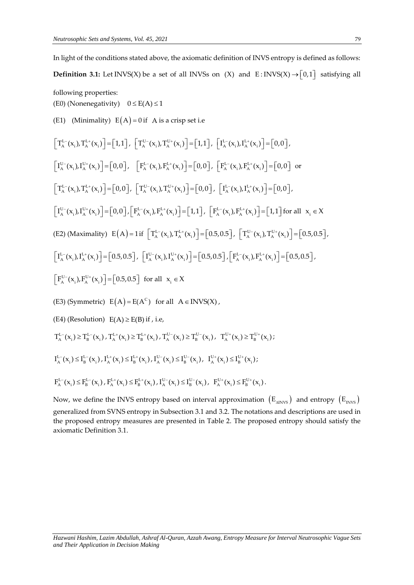In light of the conditions stated above, the axiomatic definition of INVS entropy is defined as follows:

**Definition 3.1:** Let INVS(X) be a set of all INVSs on (X) and  $E: INVS(X) \rightarrow [0,1]$  satisfying all

following properties:

(E0) (Nonenegativity)  $0 \le E(A) \le 1$ 

(E1) (Minimality)  $E(A) = 0$  if A is a crisp set i.e

$$
\begin{aligned}\n\left[T_{\lambda}^{L-}(x_{i})\,T_{\lambda}^{L+}(x_{i})\right] &= \left[1,1\right],\n\left[T_{\lambda}^{U-}(x_{i})\,T_{\lambda}^{U+}(x_{i})\right] &= \left[1,1\right],\n\left[T_{\lambda}^{L-}(x_{i})\,L_{\lambda}^{L+}(x_{i})\right] &= \left[0,0\right], \\
\left[T_{\lambda}^{U-}(x_{i})\,L_{\lambda}^{U+}(x_{i})\right] &= \left[0,0\right],\n\left[F_{\lambda}^{L-}(x_{i})\,F_{\lambda}^{L+}(x_{i})\right] &= \left[0,0\right],\n\left[F_{\lambda}^{L-}(x_{i})\,F_{\lambda}^{L+}(x_{i})\right] &= \left[0,0\right],\n\left[T_{\lambda}^{L-}(x_{i})\,F_{\lambda}^{L+}(x_{i})\right] &= \left[0,0\right],\n\left[T_{\lambda}^{L-}(x_{i})\,F_{\lambda}^{L+}(x_{i})\right] &= \left[0,0\right],\n\left[T_{\lambda}^{L-}(x_{i})\,F_{\lambda}^{L+}(x_{i})\right] &= \left[0,0\right],\n\left[T_{\lambda}^{L-}(x_{i})\,F_{\lambda}^{L+}(x_{i})\right] &= \left[0,0\right],\n\left[T_{\lambda}^{L-}(x_{i})\,F_{\lambda}^{L+}(x_{i})\right] &= \left[0,0\right],\n\left[T_{\lambda}^{L-}(x_{i})\,F_{\lambda}^{L+}(x_{i})\right] &= \left[0,0\right],\n\left[T_{\lambda}^{L-}(x_{i})\,F_{\lambda}^{L+}(x_{i})\right] &= \left[0,0\right],\n\left[T_{\lambda}^{L-}(x_{i})\,F_{\lambda}^{L+}(x_{i})\right] &= \left[0,0\right],\n\left[T_{\lambda}^{L-}(x_{i})\,F_{\lambda}^{L+}(x_{i})\right] &= \left[0,0\right],\n\left[T_{\lambda}^{L-}(x_{i})\,F_{\lambda}^{L+}(x_{i})\right] &
$$

 $F_A^{L-}(x_i) \le F_B^{L-}(x_i)$ ,  $F_A^{L+}(x_i) \le F_B^{L+}(x_i)$ ,  $I_A^{U-}(x_i) \le I_B^{U-}(x_i)$ ,  $F_A^{U+}(x_i) \le F_B^{U+}(x_i)$ .

Now, we define the INVS entropy based on interval approximation  $\rm\,(E_{\rm \,\rm\scriptscriptstyle{ANVS}})$  and entropy  $\rm\,(E_{\rm \,\rm\scriptscriptstyle{INVS}})$ generalized from SVNS entropy in Subsection 3.1 and 3.2. The notations and descriptions are used in the proposed entropy measures are presented in Table 2. The proposed entropy should satisfy the axiomatic Definition 3.1.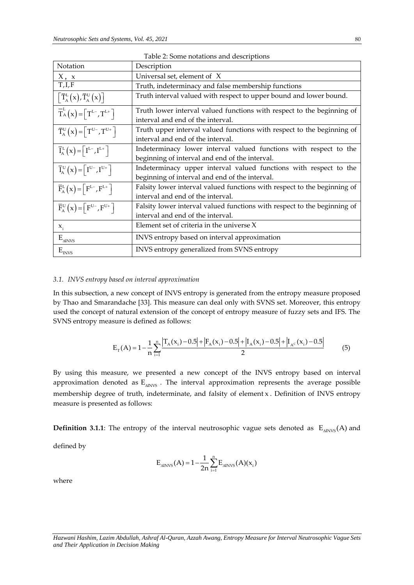| Table 2: Some notations and descriptions                        |                                                                                                                     |  |  |
|-----------------------------------------------------------------|---------------------------------------------------------------------------------------------------------------------|--|--|
| Notation                                                        | Description                                                                                                         |  |  |
| X, x                                                            | Universal set, element of X                                                                                         |  |  |
| T,I,F                                                           | Truth, indeterminacy and false membership functions                                                                 |  |  |
| $\left[\overline{T}_{A}^{L}(x),\overline{T}_{A}^{U}(x)\right]$  | Truth interval valued with respect to upper bound and lower bound.                                                  |  |  |
| $\overline{T}_{A}^{L}(x) = \left[T^{L-}, T^{L+}\right]$         | Truth lower interval valued functions with respect to the beginning of<br>interval and end of the interval.         |  |  |
| $\overline{T}_{A}^{U}(x) = \left[T^{U-}, T^{U+}\right]$         | Truth upper interval valued functions with respect to the beginning of<br>interval and end of the interval.         |  |  |
| $\overline{I}_{A}^{L}(x) = \left[ I^{L-}, I^{L+} \right]$       | Indeterminacy lower interval valued functions with respect to the<br>beginning of interval and end of the interval. |  |  |
| $\overline{I}_{A}^{U}(x) = \left[ I^{U-}, I^{U+} \right]$       | Indeterminacy upper interval valued functions with respect to the<br>beginning of interval and end of the interval. |  |  |
| $\overline{F}_{A}^{L}(x) = \left[F_{-}^{L-}, F_{-}^{L+}\right]$ | Falsity lower interval valued functions with respect to the beginning of<br>interval and end of the interval.       |  |  |
| $\overline{F}_{A}^{U}(x) = \left[ F^{U-}, F^{U+} \right]$       | Falsity lower interval valued functions with respect to the beginning of<br>interval and end of the interval.       |  |  |
| $X_i$                                                           | Element set of criteria in the universe $X$                                                                         |  |  |
| $E_{\text{aINVS}}$                                              | INVS entropy based on interval approximation                                                                        |  |  |
| $\mathbf{E}_{\text{nNS}}$                                       | INVS entropy generalized from SVNS entropy                                                                          |  |  |

# *3.1. INVS entropy based on interval approximation*

In this subsection, a new concept of INVS entropy is generated from the entropy measure proposed by Thao and Smarandache [33]. This measure can deal only with SVNS set. Moreover, this entropy used the concept of natural extension of the concept of entropy measure of fuzzy sets and IFS. The SVNS entropy measure is defined as follows:

sure is defined as follows:  
\n
$$
E_{T}(A) = 1 - \frac{1}{n} \sum_{i=1}^{n} \frac{|T_A(x_i) - 0.5| + |F_A(x_i) - 0.5| + |I_A(x_i) - 0.5| + |I_{A^c}(x_i) - 0.5|}{2}
$$
\n(5)

By using this measure, we presented a new concept of the INVS entropy based on interval approximation denoted as  $\text{E}_{\text{\tiny{AINVS}}}$  . The interval approximation represents the average possible membership degree of truth, indeterminate, and falsity of element x . Definition of INVS entropy measure is presented as follows:

**Definition 3.1.1**: The entropy of the interval neutrosophic vague sets denoted as  $E_{\text{aINVS}}(A)$  and

defined by

$$
E_{\text{AINVS}}(A) = 1 - \frac{1}{2n} \sum_{i=1}^{n} E_{\text{AINVS}}(A)(x_i)
$$

where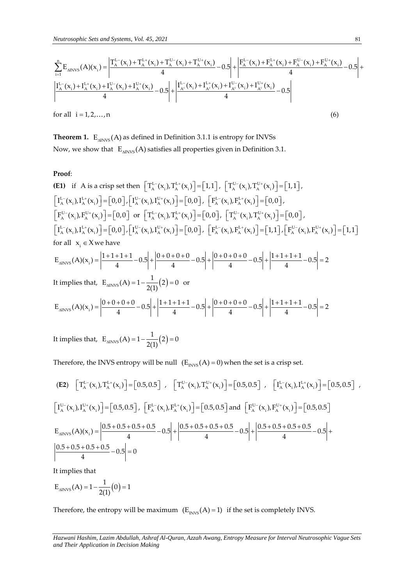*Neutronophic Sets and Systems, Vol. 45, 2021*  
\n
$$
\sum_{i=1}^{n} E_{\text{AINVS}}(A)(x_{i}) = \left| \frac{T_{A}^{L-}(x_{i}) + T_{A}^{L+}(x_{i}) + T_{A}^{U-}(x_{i}) + T_{A}^{U+}(x_{i})}{4} - 0.5 \right| + \left| \frac{F_{A}^{L-}(x_{i}) + F_{A}^{L+}(x_{i}) + F_{A}^{U-}(x_{i}) + F_{A}^{U+}(x_{i})}{4} - 0.5 \right| + \left| \frac{I_{A}^{L-}(x_{i}) + I_{A}^{L+}(x_{i}) + I_{A}^{U-}(x_{i}) + I_{A}^{U-}(x_{i}) + I_{A}^{U-}(x_{i}) + I_{A}^{U-}(x_{i}) + I_{A}^{U-}(x_{i}) + I_{A}^{U-}(x_{i}) + I_{A}^{U-}(x_{i})}{4} - 0.5 \right| + \left| \frac{I_{A}^{L-}(x_{i}) + I_{A}^{L+}(x_{i}) + I_{A}^{U-}(x_{i}) + I_{A}^{U-}(x_{i})}{4} - 0.5 \right| + \left| \frac{I_{A}^{L-}(x_{i}) + I_{A}^{U-}(x_{i}) + I_{A}^{U-}(x_{i}) + I_{A}^{U-}(x_{i}) + I_{A}^{U-}(x_{i})}{4} - 0.5 \right| + \left| \frac{I_{A}^{L-}(x_{i}) + I_{A}^{U-}(x_{i}) + I_{A}^{U-}(x_{i}) + I_{A}^{U-}(x_{i}) + I_{A}^{U-}(x_{i}) + I_{A}^{U-}(x_{i}) + I_{A}^{U-}(x_{i}) + I_{A}^{U-}(x_{i}) + I_{A}^{U-}(x_{i}) + I_{A}^{U-}(x_{i}) + I_{A}^{U-}(x_{i}) + I_{A}^{U-}(x_{i}) + I_{A}^{U-}(x_{i}) + I_{A}^{U-}(x_{i}) + I_{A}^{U-}(x_{i}) + I_{A}^{U-}(x_{i}) + I_{A}^{U-}(x_{i}) + I_{A}^{U-}(x_{i}) + I_{A}^{U-}(x_{i}) + I_{A}^{U-}(x_{i}) + I_{A}^{U-}(x_{i}) + I_{A}^{
$$

**Theorem 1.**  $\mathbb{E}_{\text{aINVS}}(\text{A})$  as defined in Definition 3.1.1 is entropy for INVSs Now, we show that  $\ E_{_{\Delta\text{INVS}}}(\text{A})$  satisfies all properties given in Definition 3.1.

# **Proof**:

(E1) if A is a crisp set then 
$$
\left[T_A^{L-}(x_i), T_A^{L+}(x_i)\right] = [1,1], \left[T_A^{U-}(x_i), T_A^{U+}(x_i)\right] = [1,1],
$$
  
\n $\left[I_A^{L-}(x_i), I_A^{L+}(x_i)\right] = [0,0], \left[I_A^{U-}(x_i), I_A^{U+}(x_i)\right] = [0,0], \left[F_A^{L-}(x_i), F_A^{L+}(x_i)\right] = [0,0],$   
\n $\left[F_A^{U-}(x_i), F_A^{U+}(x_i)\right] = [0,0], \text{ or } \left[T_A^{L-}(x_i), T_A^{L+}(x_i)\right] = [0,0], \left[T_A^{U-}(x_i), T_A^{U+}(x_i)\right] = [0,0],$   
\n $\left[I_A^{L-}(x_i), I_A^{L+}(x_i)\right] = [0,0], \left[I_A^{U-}(x_i), I_A^{U+}(x_i)\right] = [0,0], \left[F_A^{L-}(x_i), F_A^{L+}(x_i)\right] = [1,1], \left[F_A^{U-}(x_i), F_A^{U+}(x_i)\right] = [1,1]$   
\nfor all  $x_i \in X$  we have  
\n $E_{\text{MNVS}}(A)(x_i) = \left|\frac{1+1+1+1}{4}-0.5\right| + \left|\frac{0+0+0+0}{4}-0.5\right| + \left|\frac{0+0+0+0}{4}-0.5\right| + \left|\frac{1+1+1+1}{4}-0.5\right| = 2$ 

It implies that, 
$$
E_{\text{AINVS}}(A) = 1 - \frac{1}{2(1)}(2) = 0
$$
 or  
\n
$$
E_{\text{AINVS}}(A)(x_i) = \left| \frac{0 + 0 + 0 + 0}{4} - 0.5 \right| + \left| \frac{1 + 1 + 1 + 1}{4} - 0.5 \right| + \left| \frac{0 + 0 + 0 + 0}{4} - 0.5 \right| + \left| \frac{1 + 1 + 1 + 1}{4} - 0.5 \right| = 2
$$

It implies that,  $E_{\text{alNVs}}(A) = 1 - \frac{1}{2(1)}(2) = 0$ 

Therefore, the INVS entropy will be null  $(E_{INVS}(A) = 0)$  when the set is a crisp set.

(E2) 
$$
\left[T_A^{L-}(x_i), T_A^{L+}(x_i)\right] = \left[0.5, 0.5\right]
$$
,  $\left[T_A^{U-}(x_i), T_A^{U+}(x_i)\right] = \left[0.5, 0.5\right]$ ,  $\left[T_A^{L-}(x_i), I_A^{L+}(x_i)\right] = \left[0.5, 0.5\right]$ ,   
\n $\left[T_A^{U-}(x_i), I_A^{U+}(x_i)\right] = \left[0.5, 0.5\right]$ ,  $\left[F_A^{L-}(x_i), F_A^{L+}(x_i)\right] = \left[0.5, 0.5\right]$  and  $\left[F_A^{U-}(x_i), F_A^{U+}(x_i)\right] = \left[0.5, 0.5\right]$   
\n $E_{\text{MNVS}}(A)(x_i) = \left|\frac{0.5 + 0.5 + 0.5 + 0.5}{4} - 0.5\right| + \left|\frac{0.5 + 0.5 + 0.5 + 0.5}{4} - 0.5\right| + \left|\frac{0.5 + 0.5 + 0.5 + 0.5}{4} - 0.5\right| + \left|\frac{0.5 + 0.5 + 0.5 - 0.5}{4} - 0.5\right| + \left|\frac{0.5 + 0.5 + 0.5 - 0.5}{4} - 0.5\right| + \left|\frac{0.5 + 0.5 + 0.5 - 0.5}{4} - 0.5\right| + \left|\frac{0.5 + 0.5 + 0.5 - 0.5}{4} - 0.5\right| + \left|\frac{0.5 + 0.5 + 0.5 - 0.5}{4} - 0.5\right| + \left|\frac{0.5 + 0.5 + 0.5 - 0.5}{4} - 0.5\right| + \left|\frac{0.5 + 0.5 - 0.5 - 0.5}{4} - 0.5\right| + \left|\frac{0.5 + 0.5 - 0.5 - 0.5}{4} - 0.5\right| + \left|\frac{0.5 + 0.5 - 0.5 - 0.5}{4} - 0.5\right| + \left|\frac{0.5 + 0.5 - 0.5 - 0.5}{4} - 0.5\right| + \left|\frac{0.5 + 0.5 - 0.5 - 0.5}{4} - 0.5\right| + \$ 

It implies that

$$
E_{\text{alNVS}}(A) = 1 - \frac{1}{2(1)}(0) = 1
$$

Therefore, the entropy will be maximum  $(E_{\text{INVS}}(A) = 1)$  if the set is completely INVS.

*Hazwani Hashim, Lazim Abdullah, Ashraf Al-Quran, Azzah Awang, Entropy Measure for Interval Neutrosophic Vague Sets and Their Application in Decision Making*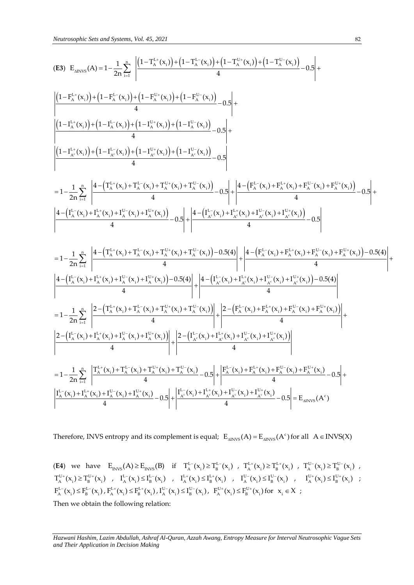Neutrosophic Sets and Systems, Vol. 45, 2021  
\n(63) 
$$
E_{aRvS}(A) = 1 - \frac{1}{2n} \sum_{i=1}^{n} \frac{\left| (1 - T_{\lambda}^{i_{\pm}}(x_{i}) + (1 - T_{\lambda}^{i_{\pm}}(x_{i})) + (1 - T_{\lambda}^{i_{\pm}}(x_{i})) + (1 - T_{\lambda}^{i_{\pm}}(x_{i})) + (1 - T_{\lambda}^{i_{\pm}}(x_{i})) - 0.5 \right| + \left| (1 - T_{\lambda}^{i_{\pm}}(x_{i})) + (1 - T_{\lambda}^{i_{\pm}}(x_{i})) + (1 - T_{\lambda}^{i_{\pm}}(x_{i})) + (1 - T_{\lambda}^{i_{\pm}}(x_{i})) + (1 - T_{\lambda}^{i_{\pm}}(x_{i})) + (1 - T_{\lambda}^{i_{\pm}}(x_{i})) + (1 - T_{\lambda}^{i_{\pm}}(x_{i})) - 0.5 \right| + \left| (1 - T_{\lambda}^{i_{\pm}}(x_{i})) + (1 - T_{\lambda}^{i_{\pm}}(x_{i})) + (1 - T_{\lambda}^{i_{\pm}}(x_{i})) + (1 - T_{\lambda}^{i_{\pm}}(x_{i})) - 0.5 \right| + \left| (1 - T_{\lambda}^{i_{\pm}}(x_{i})) + (1 - T_{\lambda}^{i_{\pm}}(x_{i})) + (1 - T_{\lambda}^{i_{\pm}}(x_{i})) + (1 - T_{\lambda}^{i_{\pm}}(x_{i})) - 0.5 \right| + \left| (1 - T_{\lambda}^{i_{\pm}}(x_{i})) + T_{\lambda}^{i_{\pm}}(x_{i})) - 0.5 \right| + \left| \frac{4 - (F_{\lambda}^{i_{\pm}}(x_{i}) + F_{\lambda}^{i_{\pm}}(x_{i}) + F_{\lambda}^{i_{\pm}}(x_{i})) - 0.5 \right| + \left| \frac{4 - (T_{\lambda}^{i_{\pm}}(x_{i}) + F_{\lambda}^{i_{\pm}}(x_{i}) + F_{\lambda}^{i_{\pm}}(x_{i})) - 0.5 \right| + \left| \frac{4 - (T_{\lambda}^{i_{\pm}}(x_{i}) + T_{\lambda}^{i_{\pm}}(x_{i})) + T_{\lambda}^{i_{\pm}}(x_{i})) - 0.5 \right| + \left|
$$

Therefore, INVS entropy and its complement is equal;  $E_{\text{aINVS}}(A) = E_{\text{aINVS}}(A^c)$  for all  $A \in \text{INVS}(X)$ 

(**E4**) we have  $E_{INVS}(A) \ge E_{INVS}(B)$  if  $T_A^{L-}(x_i) \ge T_B^{L-}(x_i)$ ,  $T_A^{L+}(x_i) \ge T_B^{L+}(x_i)$ ,  $T_A^{U-}(x_i) \ge T_B^{U-}(x_i)$ ,  $T_A^{U_+}(x_i) \ge T_B^{U_+}(x_i)$  ,  $I_A^{L_-}(x_i) \le I_B^{L_-}(x_i)$  ,  $I_A^{L_+}(x_i) \le I_B^{L_+}(x_i)$  ,  $I_A^{U_-}(x_i) \le I_B^{U_-}(x_i)$  ,  $I_A^{U_+}(x_i) \le I_B^{U_+}(x_i)$  ;  $F_A^{L-}(x_i) \le F_B^{L-}(x_i)$ ,  $F_A^{L+}(x_i) \le F_B^{L+}(x_i)$ ,  $I_A^{U-}(x_i) \le I_B^{U-}(x_i)$ ,  $F_A^{U+}(x_i) \le F_B^{U+}(x_i)$  for  $x_i \in X$ ;

Then we obtain the following relation:

*Hazwani Hashim, Lazim Abdullah, Ashraf Al-Quran, Azzah Awang, Entropy Measure for Interval Neutrosophic Vague Sets and Their Application in Decision Making*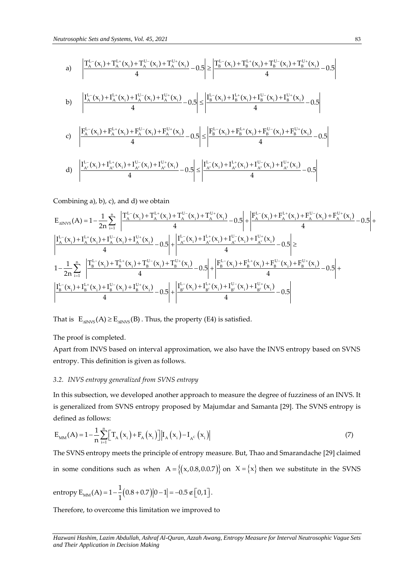trosophic Sets and Systems, Vol. 45, 2021  
\na) 
$$
\left| \frac{T_A^L(x_i) + T_A^{L+}(x_i) + T_A^{U-}(x_i) + T_A^{U+}(x_i)}{4} - 0.5 \right| \ge \left| \frac{T_B^L(x_i) + T_B^{L+}(x_i) + T_B^{U-}(x_i) + T_B^{U+}(x_i)}{4} - 0.5 \right|
$$
\nb) 
$$
\left| \frac{I_A^L(x_i) + I_A^L(x_i) + I_A^{U-}(x_i) + I_A^{U+}(x_i)}{4} - 0.5 \right| \le \left| \frac{I_B^L(x_i) + I_B^L(x_i) + I_B^{U-}(x_i) + I_B^{U+}(x_i)}{4} - 0.5 \right|
$$
\nc) 
$$
\left| \frac{F_A^L(x_i) + F_A^L(x_i) + F_A^{U-}(x_i) + F_A^{U+}(x_i)}{4} - 0.5 \right| \le \left| \frac{F_B^L(x_i) + F_B^L(x_i) + F_B^{U-}(x_i) + F_B^{U+}(x_i)}{4} - 0.5 \right|
$$
\nd) 
$$
\left| \frac{I_{A^c}^L(x_i) + I_{A^c}^L(x_i) + I_{A^c}^{U-}(x_i) + I_{A^c}^{U+}(x_i)}{4} - 0.5 \right| \le \left| \frac{I_{A^c}^L(x_i) + I_{A^c}^L(x_i) + I_{A^c}^{U-}(x_i) + I_{A^c}^{U+}(x_i)}{4} - 0.5 \right|
$$

Combining a), b), c), and d) we obtain

Combining a), b), c), and d) we obtain  
\n
$$
E_{\text{MNVS}}(A) = 1 - \frac{1}{2n} \sum_{i=1}^{n} \left| \frac{T_{A}^{L-}(x_{i}) + T_{A}^{L+}(x_{i}) + T_{A}^{U-}(x_{i}) + T_{A}^{U+}(x_{i})}{4} - 0.5 \right| + \left| \frac{F_{A}^{L-}(x_{i}) + F_{A}^{L+}(x_{i}) + F_{A}^{U-}(x_{i}) + F_{A}^{U-}(x_{i})}{4} - 0.5 \right| + \left| \frac{T_{A}^{L-}(x_{i}) + I_{A}^{L+}(x_{i}) + I_{A}^{U-}(x_{i}) + I_{A}^{U-}(x_{i}) + I_{A}^{U-}(x_{i}) + I_{A}^{U-}(x_{i}) + I_{A}^{U-}(x_{i}) + I_{A}^{U-}(x_{i}) + I_{A}^{U-}(x_{i})}{4} - 0.5 \right| \ge 0.
$$
\n
$$
1 - \frac{1}{2n} \sum_{i=1}^{n} \left| \frac{T_{B}^{L-}(x_{i}) + T_{B}^{L+}(x_{i}) + T_{B}^{U-}(x_{i}) + T_{B}^{U-}(x_{i}) - 0.5 \right| + \left| \frac{F_{B}^{L-}(x_{i}) + F_{B}^{L+}(x_{i}) + F_{B}^{U-}(x_{i}) + F_{B}^{U-}(x_{i}) + F_{B}^{U-}(x_{i})}{4} - 0.5 \right| + \left| \frac{T_{B}^{L-}(x_{i}) + I_{B}^{L+}(x_{i}) + I_{B}^{U-}(x_{i}) + I_{B}^{U-}(x_{i}) + I_{B}^{U-}(x_{i}) + I_{B}^{U-}(x_{i}) - 0.5 \right| + \left| \frac{T_{B}^{L-}(x_{i}) + I_{B}^{L+}(x_{i}) + I_{B}^{U-}(x_{i}) + I_{B}^{U-}(x_{i}) + I_{B}^{U-}(x_{i}) - 0.5 \right|}{4} + \left| \frac{T_{B}^{L-}(x_{i}) + I_{B}^{L+}(x_{i}) + I_{B}^{U-}(x_{i}) + I_{B}^{U-}(x_{i}) + I_{B}^{U-}(x_{i}) + I_{B}^{U-}(x_{i})}{4} -
$$

That is  $E_{\text{0.000}}(A) \ge E_{\text{0.000}}(B)$ . Thus, the property (E4) is satisfied.

The proof is completed.

Apart from INVS based on interval approximation, we also have the INVS entropy based on SVNS entropy. This definition is given as follows.

# *3.2. INVS entropy generalized from SVNS entropy*

In this subsection, we developed another approach to measure the degree of fuzziness of an INVS. It is generalized from SVNS entropy proposed by Majumdar and Samanta [29]. The SVNS entropy is defined as follows:

$$
E_{MM}(A) = 1 - \frac{1}{n} \sum_{i=1}^{n} \Big[ T_A(x_i) + F_A(x_i) \Big] |I_A(x_i) - I_{A^C}(x_i)|
$$
 (7)

The SVNS entropy meets the principle of entropy measure. But, Thao and Smarandache [29] claimed in some conditions such as when  $A = \{(x,0.8,0.0.7)\}$  on  $X = \{x\}$  then we substitute in the SVNS

entropy 
$$
E_{MM}(A) = 1 - \frac{1}{1}(0.8 + 0.7)|0 - 1| = -0.5 \notin [0, 1].
$$

Therefore, to overcome this limitation we improved to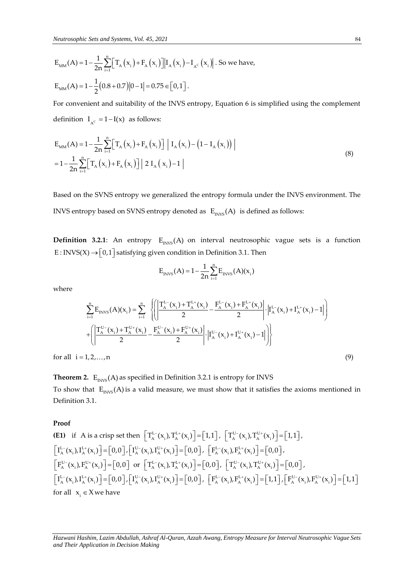$$
E_{MM}(A) = 1 - \frac{1}{2n} \sum_{i=1}^{n} \Big[ T_A(x_i) + F_A(x_i) \Big] |I_A(x_i) - I_{A^c}(x_i) |.
$$
 So we have,  

$$
E_{MM}(A) = 1 - \frac{1}{2} (0.8 + 0.7) |0 - 1| = 0.75 \in [0, 1].
$$

For convenient and suitability of the INVS entropy, Equation 6 is simplified using the complement definition  $I_{A^c} = 1 - I(x)$  as follows:

$$
E_{MM}(A) = 1 - \frac{1}{2n} \sum_{i=1}^{n} \Big[ T_A(x_i) + F_A(x_i) \Big] | I_A(x_i) - (1 - I_A(x_i)) |
$$
  
= 
$$
1 - \frac{1}{2n} \sum_{i=1}^{n} \Big[ T_A(x_i) + F_A(x_i) \Big] | 2 I_A(x_i) - 1 |
$$
 (8)

Based on the SVNS entropy we generalized the entropy formula under the INVS environment. The INVS entropy based on SVNS entropy denoted as  $\ E_{_{\rm{INVS}}}( {\rm A})\;$  is defined as follows:

**Definition 3.2.1**: An entropy  $E_{\text{INVS}}(A)$  on interval neutrosophic vague sets is a function E : INVS(X)  $\rightarrow$   $[0,1]$  satisfying given condition in Definition 3.1. Then

$$
E_{INVS}(A) = 1 - \frac{1}{2n} \sum_{i=1}^{n} E_{INVS}(A)(x_i)
$$

where

$$
E_{\text{INVS}}(A) = 1 - \frac{1}{2n} \sum_{i=1}^{n} E_{\text{INVS}}(A)(x_i)
$$
\n
$$
= \sum_{i=1}^{n} \left\{ \left( \left| \frac{T_A^{L-}(x_i) + T_A^{L+}(x_i)}{2} - \frac{F_A^{L-}(x_i) + F_A^{L+}(x_i)}{2} \right| \cdot \left| I_A^{L-}(x_i) + I_A^{L+}(x_i) - 1 \right| \right) + \left( \left| \frac{T_A^{U-}(x_i) + T_A^{U+}(x_i)}{2} - \frac{F_A^{U-}(x_i) + F_A^{U+}(x_i)}{2} \right| \cdot \left| I_A^{U-}(x_i) + I_A^{U+}(x_i) - 1 \right| \right) \right\}
$$
\n
$$
= \left\{ 1, 2, ..., n \right\} \tag{9}
$$

for all  $i = 1, 2, \ldots, n$ 

**Theorem 2.**  $\mathbb{E}_{\text{INVS}}(\text{A})$  as specified in Definition 3.2.1 is entropy for INVS To show that  $\ E_{INVS}(A)$  is a valid measure, we must show that it satisfies the axioms mentioned in Definition 3.1.

#### **Proof**

(E1) if A is a crisp set then 
$$
\begin{bmatrix} T_A^{L-}(x_i), T_A^{L+}(x_i) \end{bmatrix} = [1,1], \begin{bmatrix} T_A^{U-}(x_i), T_A^{U+}(x_i) \end{bmatrix} = [1,1],
$$
  
\n $\begin{bmatrix} I_A^{L-}(x_i), I_A^{L+}(x_i) \end{bmatrix} = [0,0], \begin{bmatrix} I_A^{U-}(x_i), I_A^{U+}(x_i) \end{bmatrix} = [0,0], \begin{bmatrix} F_A^{L-}(x_i), F_A^{L+}(x_i) \end{bmatrix} = [0,0],$   
\n $\begin{bmatrix} F_A^{U-}(x_i), F_A^{U+}(x_i) \end{bmatrix} = [0,0]$  or  $\begin{bmatrix} T_A^{L-}(x_i), T_A^{L+}(x_i) \end{bmatrix} = [0,0], \begin{bmatrix} T_A^{U-}(x_i), T_A^{U+}(x_i) \end{bmatrix} = [0,0],$   
\n $\begin{bmatrix} I_A^{L-}(x_i), I_A^{L+}(x_i) \end{bmatrix} = [0,0], \begin{bmatrix} I_A^{U-}(x_i), I_A^{U+}(x_i) \end{bmatrix} = [0,0], \begin{bmatrix} F_A^{L-}(x_i), F_A^{L+}(x_i) \end{bmatrix} = [1,1], \begin{bmatrix} F_A^{U-}(x_i), F_A^{U+}(x_i) \end{bmatrix} = [1,1]$   
\nfor all  $x_i \in X$  we have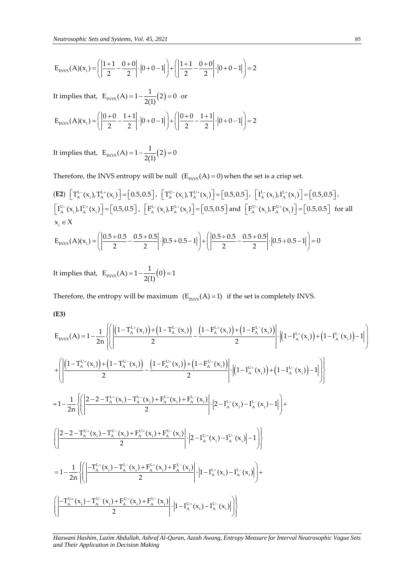$$
E_{\text{INVS}}(A)(x_1) = \left( \left| \frac{1+1}{2} - \frac{0+0}{2} \right| \cdot \left| 0+0-1 \right| \right) + \left( \left| \frac{1+1}{2} - \frac{0+0}{2} \right| \cdot \left| 0+0-1 \right| \right) = 2
$$

It implies that, 
$$
E_{\text{INVS}}(A) = 1 - \frac{1}{2(1)}(2) = 0
$$
 or  
\n
$$
E_{\text{INVS}}(A)(x_i) = \left( \left| \frac{0+0}{2} - \frac{1+1}{2} \right| \cdot \left| 0+0-1 \right| \right) + \left( \left| \frac{0+0}{2} - \frac{1+1}{2} \right| \cdot \left| 0+0-1 \right| \right) = 2
$$

It implies that,  $E_{\text{INVS}}(A) = 1 - \frac{1}{2(1)}(2) = 0$ 

Therefore, the INVS entropy will be null  $(E_{INVS}(A) = 0)$  when the set is a crisp set.

(E2) 
$$
\left[T_{A}^{L-}(x_i), T_{A}^{L+}(x_i)\right] = [0.5, 0.5], \left[T_{A}^{U-}(x_i), T_{A}^{U+}(x_i)\right] = [0.5, 0.5], \left[T_{A}^{L-}(x_i), T_{A}^{L+}(x_i)\right] = [0.5, 0.5],
$$
  
\n $\left[T_{A}^{U-}(x_i), T_{A}^{U+}(x_i)\right] = [0.5, 0.5], \left[F_{A}^{L-}(x_i), F_{A}^{L+}(x_i)\right] = [0.5, 0.5],$  and  $\left[F_{A}^{U-}(x_i), F_{A}^{U+}(x_i)\right] = [0.5, 0.5]$  for all  $x_i \in X$   
\n $E_{INYS}(A)(x_i) = \left(\left|\frac{0.5 + 0.5}{2}\right| - \left|\frac{0.5 + 0.5}{2}\right| \cdot \left|\frac{0.5 + 0.5 - 1}{2}\right| + \left|\frac{0.5 + 0.5}{2}\right| - \left|\frac{0.5 + 0.5}{2}\right| \cdot \left|\frac{0.5 + 0.5 - 1}{2}\right| \cdot \left|\frac{0.5 + 0.5 - 1}{2}\right| \cdot \left|\frac{0.5 + 0.5 - 1}{2}\right| \cdot \left|\frac{0.5 + 0.5 - 1}{2}\right| \cdot \left|\frac{0.5 + 0.5 - 1}{2}\right| \cdot \left|\frac{0.5 + 0.5 - 1}{2}\right| \cdot \left|\frac{0.5 + 0.5 - 1}{2}\right| \cdot \left|\frac{0.5 + 0.5 - 1}{2}\right| \cdot \left|\frac{0.5 + 0.5 - 1}{2}\right| \cdot \left|\frac{0.5 + 0.5 - 1}{2}\right| \cdot \left|\frac{0.5 + 0.5 - 1}{2}\right| \cdot \left|\frac{0.5 + 0.5 - 1}{2}\right| \cdot \left|\frac{0.5 + 0.5 - 1}{2}\right| \cdot \left|\frac{0.5 + 0.5 - 1}{2}\right| \cdot \left|\frac{0.5 + 0.5 - 1}{2}\right| \cdot \left|\frac{0.5 + 0.5 - 1}{2}\right| \cdot \left|\frac{0.5 + 0.5 - 1}{2}\right| \cdot \$ 

$$
x_i \in X
$$
  
\n
$$
E_{\text{INVS}}(A)(x_i) = \left( \left| \frac{0.5 + 0.5}{2} - \frac{0.5 + 0.5}{2} \right| \cdot \left| 0.5 + 0.5 - 1 \right| \right) + \left( \left| \frac{0.5 + 0.5}{2} - \frac{0.5 + 0.5}{2} \right| \cdot \left| 0.5 + 0.5 - 1 \right| \right) = 0
$$

It implies that,  $E_{\text{INVS}}(A) = 1 - \frac{1}{2(1)}(0) = 1$ 

$$
(E3)
$$

Therefore, the entropy will be maximum 
$$
(E_{\text{RVS}}(A) = 1)
$$
 if the set is completely INVS.  
\n(E3)  
\n
$$
E_{\text{RVS}}(A) = 1 - \frac{1}{2n} \left\{ \left| \left( \frac{1 - T_{\text{A}}^{\text{L}+}(x_{i}) + (1 - T_{\text{A}}^{\text{L}-}(x_{i}))}{2} - \frac{(1 - F_{\text{A}}^{\text{L}+}(x_{i}) + (1 - F_{\text{A}}^{\text{L}-}(x_{i}))}{2} \right) \cdot \left| (1 - I_{\text{A}}^{\text{L}+}(x_{i})) + (1 - I_{\text{A}}^{\text{L}-}(x_{i})) - 1 \right| \right\}
$$
\n
$$
+ \left\{ \left| \frac{(1 - T_{\text{A}}^{\text{U}+}(x_{i}) + (1 - T_{\text{A}}^{\text{U}+}(x_{i})) - (1 - F_{\text{A}}^{\text{U}+}(x_{i})) + (1 - F_{\text{A}}^{\text{U}+}(x_{i})) + (1 - I_{\text{A}}^{\text{U}+}(x_{i})) - 1 \right| \right\}
$$
\n
$$
= 1 - \frac{1}{2n} \left\{ \left| \left| \frac{2 - 2 - T_{\text{A}}^{\text{L}+}(x_{i}) - T_{\text{A}}^{\text{L}-}(x_{i}) + F_{\text{A}}^{\text{L}-}(x_{i}) + F_{\text{A}}^{\text{L}-}(x_{i}) \right|}{2} \cdot \left| 2 - I_{\text{A}}^{\text{L}+}(x_{i}) - I_{\text{A}}^{\text{L}-}(x_{i}) - 1 \right| \right\} + \left( \left| \frac{2 - 2 - T_{\text{A}}^{\text{U}+}(x_{i}) - T_{\text{A}}^{\text{U}+}(x_{i}) + F_{\text{A}}^{\text{U}+}(x_{i}) + F_{\text{A}}^{\text{U}+}(x_{i}) \right|}{2} \cdot \left| 2 - I_{\text{A}}^{\text{U}+}(x_{i}) - I_{\text{A}}^{\text{U}+}(x_{i}) - 1 \right| \right\}
$$
\n
$$
= 1 - \frac{1}{2n} \left\{ \left| \left| \frac{-T_{\text{A}}^{\text
$$

*Hazwani Hashim, Lazim Abdullah, Ashraf Al-Quran, Azzah Awang, Entropy Measure for Interval Neutrosophic Vague Sets and Their Application in Decision Making*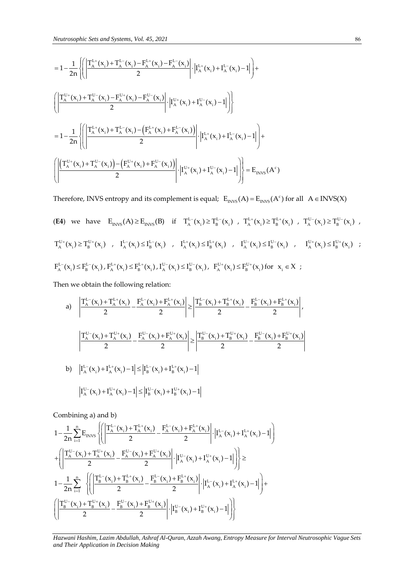13.1  
\n
$$
=1-\frac{1}{2n}\left\{\left(\frac{\prod_{k=1}^{n_{1}+1}(x_{1})+\prod_{k=1}^{n_{2}}(x_{1})-\prod_{k=1}^{n_{2}}(x_{1})-\prod_{k=1}^{n_{2}}(x_{1})}{2}\right|\left|I_{A}^{k_{1}}(x_{1})+I_{A}^{k_{2}}(x_{1})-1\right|\right\}+ \left(\frac{\prod_{k=1}^{n_{1}+1}(x_{1})+\prod_{k=1}^{n_{2}}(x_{1})-\prod_{k=1}^{n_{2}}(x_{1})-\prod_{k=1}^{n_{2}}(x_{1})-\prod_{k=1}^{n_{2}}(x_{1})\right|}{2}\cdot\left|I_{A}^{k_{1}}(x_{1})+I_{A}^{k_{2}}(x_{1})-1\right|\right\}
$$
\n
$$
=1-\frac{1}{2n}\left\{\left(\frac{\prod_{k=1}^{n_{1}+1}(x_{1})+\prod_{k=1}^{n_{2}}(x_{1})-\prod_{k=1}^{n_{2}}(x_{1})-\prod_{k=1}^{n_{2}}(x_{1})-\prod_{k=1}^{n_{2}}(x_{1})-\prod_{k=1}^{n_{2}}(x_{1})-\prod_{k=1}^{n_{2}}(x_{1})-\prod_{k=1}^{n_{2}}(x_{1})-\prod_{k=1}^{n_{2}}(x_{1})-\prod_{k=1}^{n_{2}}(x_{1})-\prod_{k=1}^{n_{2}}(x_{1})-\prod_{k=1}^{n_{2}}(x_{1})-\prod_{k=1}^{n_{2}}(x_{1})-\prod_{k=1}^{n_{2}}(x_{1})-\prod_{k=1}^{n_{2}}(x_{1})-\prod_{k=1}^{n_{2}}(x_{1})-\prod_{k=1}^{n_{2}}(x_{1})-\prod_{k=1}^{n_{2}}(x_{1})-\prod_{k=1}^{n_{2}}(x_{1})-\prod_{k=1}^{n_{2}}(x_{1})-\prod_{k=1}^{n_{2}}(x_{1})-\prod_{k=1}^{n_{2}}(x_{1})-\prod_{k=1}^{n_{2}}(x_{1})-\prod_{k=1}^{n_{2}}(x_{1})-\prod_{k=1}^{n_{2}}(x_{1})-\prod_{k=1}^{n_{2}}(x_{1})-\prod_{k=1}^{n_{2}}(x
$$

Therefore, INVS entropy and its complement is equal;  $E_{INVS}(A) = E_{INVS}(A^c)$  for all  $A \in INVS(X)$ 

(E4) we have 
$$
E_{INVS}(A) \ge E_{INVS}(B)
$$
 if  $T_A^{L-}(x_i) \ge T_B^{L-}(x_i)$ ,  $T_A^{L+}(x_i) \ge T_B^{L+}(x_i)$ ,  $T_A^{U-}(x_i) \ge T_B^{U-}(x_i)$ ,  
\n $T_A^{U+}(x_i) \ge T_B^{U+}(x_i)$ ,  $I_A^{L-}(x_i) \le I_B^{L-}(x_i)$ ,  $I_A^{L+}(x_i) \le I_B^{L+}(x_i)$ ,  $I_A^{U-}(x_i) \le I_B^{U-}(x_i)$ ,  $I_A^{U+}(x_i) \le I_B^{U+}(x_i)$ ;   
\n $F_A^{L-}(x_i) \le F_B^{L-}(x_i)$ ,  $F_A^{L+}(x_i) \le F_B^{L+}(x_i)$ ,  $I_A^{U-}(x_i) \le I_B^{U-}(x_i)$ ,  $F_A^{U+}(x_i) \le F_B^{L+}(x_i)$ ,  $F_A^{L+}(x_i) \le F_B^{L+}(x_i)$ ,  $F_A^{L+}(x_i) \le F_B^{L+}(x_i)$ ,  $F_A^{L+}(x_i) \le F_B^{L+}(x_i)$ ,  $F_A^{L+}(x_i) \le F_B^{L+}(x_i)$ ,  $F_A^{L+}(x_i) \le F_B^{L+}(x_i)$ ,  $F_A^{L+}(x_i) \le F_B^{L+}(x_i)$ ,  $F_A^{L+}(x_i) \le F_B^{L+}(x_i)$ ,  $F_A^{L+}(x_i) \le F_B^{L+}(x_i)$ ,  $F_A^{L+}(x_i) \le F_B^{L+}(x_i)$ ,  $F_A^{L+}(x_i) \le F_B^{L+}(x_i)$ ,  $F_A^{L+}(x_i) \le F_B^{L+}(x_i)$ ,  $F_A^{L+}(x_i) \le F_B^{L+}(x_i)$ ,  $F_A^{L+}(x_i) \le F_B^{L+}(x_i)$ ,  $F_A^{L+}(x_i) \le F_B^{L+}(x_i)$ ,  $F_A^{L+}(x_i) \le F_B^{L+}(x_i)$ ,  $F_A^{L+}(x_i) \le F_B^{L+}(x_i)$ ,  $F_A^{L+}(x_i) \le F_B^{L+}(x_i)$ ,  $F_A^{L+}(x_i) \le F_B^{L+}(x_i)$ ,  $F_A^{L+}(x_i)$ 

Then we obtain the following relation:  
\na) 
$$
\left| \frac{T_A^{L-}(x_i) + T_A^{L+}(x_i)}{2} - \frac{F_A^{L-}(x_i) + F_A^{L+}(x_i)}{2} \right| \ge \left| \frac{T_B^{L-}(x_i) + T_B^{L+}(x_i)}{2} - \frac{F_B^{L-}(x_i) + F_B^{L+}(x_i)}{2} \right|,
$$
\n
$$
\left| \frac{T_A^{U-}(x_i) + T_A^{U+}(x_i)}{2} - \frac{F_A^{U-}(x_i) + F_A^{U+}(x_i)}{2} \right| \ge \left| \frac{T_B^{U-}(x_i) + T_B^{U+}(x_i)}{2} - \frac{F_B^{U-}(x_i) + F_B^{U+}(x_i)}{2} \right|
$$
\nb) 
$$
\left| I_A^{L-}(x_i) + I_A^{L+}(x_i) - 1 \right| \le \left| I_B^{L-}(x_i) + I_B^{L+}(x_i) - 1 \right|
$$
\n
$$
\left| I_A^{U-}(x_i) + I_A^{U+}(x_i) - 1 \right| \le \left| I_B^{U-}(x_i) + I_B^{U+}(x_i) - 1 \right|
$$

Combining a) and b)  
\n
$$
1 - \frac{1}{2n} \sum_{i=1}^{n} E_{INVS} \left\{ \left| \frac{T_A^{L-}(x_i) + T_A^{L+}(x_i)}{2} - \frac{F_A^{L-}(x_i) + F_A^{L+}(x_i)}{2} \right| \cdot \left| I_A^{L-}(x_i) + I_A^{L+}(x_i) - 1 \right| \right\}
$$
\n
$$
+ \left( \left| \frac{T_A^{U-}(x_i) + T_A^{U+}(x_i)}{2} - \frac{F_A^{U-}(x_i) + F_A^{U+}(x_i)}{2} \right| \cdot \left| I_A^{U-}(x_i) + I_A^{U+}(x_i) - 1 \right| \right) \right\} \ge
$$
\n
$$
1 - \frac{1}{2n} \sum_{i=1}^{n} \left\{ \left| \frac{T_B^{L-}(x_i) + T_B^{L+}(x_i)}{2} - \frac{F_B^{L-}(x_i) + F_B^{L+}(x_i)}{2} \right| \cdot \left| I_A^{L-}(x_i) + I_A^{L+}(x_i) - 1 \right| \right\} + \left( \left| \frac{T_B^{U-}(x_i) + T_B^{U+}(x_i)}{2} - \frac{F_B^{U-}(x_i) + F_B^{U+}(x_i)}{2} \right| \cdot \left| I_B^{U-}(x_i) + I_B^{U+}(x_i) - 1 \right| \right) \right\}
$$

*Hazwani Hashim, Lazim Abdullah, Ashraf Al-Quran, Azzah Awang, Entropy Measure for Interval Neutrosophic Vague Sets*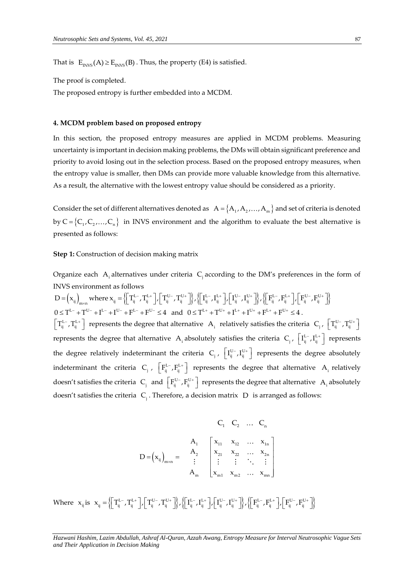That is  $E_{INVS}(A) \ge E_{INVS}(B)$ . Thus, the property (E4) is satisfied.

The proof is completed.

The proposed entropy is further embedded into a MCDM.

#### **4. MCDM problem based on proposed entropy**

In this section, the proposed entropy measures are applied in MCDM problems. Measuring uncertainty is important in decision making problems, the DMs will obtain significant preference and priority to avoid losing out in the selection process. Based on the proposed entropy measures, when the entropy value is smaller, then DMs can provide more valuable knowledge from this alternative. As a result, the alternative with the lowest entropy value should be considered as a priority.

Consider the set of different alternatives denoted as  $A = \{A_1, A_2, ..., A_m\}$  and set of criteria is denoted by  $C = \{C_1, C_2, ..., C_n\}$  in INVS environment and the algorithm to evaluate the best alternative is presented as follows:

# **Step 1:** Construction of decision making matrix

Organize each  $A_i$  alternatives under criteria  $C_j$  according to the DM's preferences in the form of INVS environment as follows

 $\begin{equation} \text{INVS environment as follows} \ \mathbf{D} = \left(\mathbf{x}_{_{\mathbf{ij}}}\right)_{\mathrm{m\times n}} \text{where } \mathbf{x}_{_{\mathbf{ij}}} = \left\{\!\!\left[\mathbf{T}_{_{\mathbf{ij}}}^{\mathrm{L-}},\mathbf{T}_{_{\mathbf{ij}}}^{\mathrm{L+}}\right]\!\!,\!\left[\mathbf{T}_{_{\mathbf{ij}}}^{\mathrm{U-}},\mathbf{T}_{_{\mathbf{ij}}}^{\mathrm{U+}}\right]\!\!\right\}, \left\{\!\left[\mathbf{I}_{_{\mathbf{ij}}}^{\mathrm{L-}},\mathbf{I}_{_{\mathbf{ij}}}^{\mathrm{L+}}\right]\!\!,\!\left$ Organize each A<sub>i</sub> alternatives under criteria C<sub>j</sub> according to the DM's preterences in the form on<br>
INVS environment as follows<br>
D =  $\left(x_{ij}\right)_{m \times n}$  where  $x_{ij} = \left\{\left[T_{ij}^{L-}, T_{ij}^{L+}\right] \left[T_{ij}^{U-}, T_{ij}^{U+}\right]\right\} \left\{\left[T_{ij}^{$ and  $0 \le T^{L+} + T^{U+} + I^{L+} + I^{U+} + F^{L+} + F^{U+} \le 4$ .  $\left\lfloor T_{ij}^{\text{L}-},T_{ij}^{\text{L}+} \right\rfloor$  represents the degree that alternative  $A_i$  relatively satisfies the criteria  $C_j$ ,  $\left\lfloor T_{ij}^{\text{U}-},T_{ij}^{\text{U}+} \right\rfloor$ represents the degree that alternative  $A_i$  absolutely satisfies the criteria  $C_j$ ,  $\left[ I_{ij}^{L-} , I_{ij}^{L+} \right]$  represents the degree relatively indeterminant the criteria  $C_j$ ,  $\left[ I_{ij}^{U-} I_{ij}^{U+} \right]$  represents the degree absolutely indeterminant the criteria  $C_j$ ,  $\left[F_{ij}^{L_-}, F_{ij}^{L_+}\right]$  represents the degree that alternative  $A_i$  relatively doesn't satisfies the criteria  $C_j$  and  $\left[ F_{ij}^{U-}, F_{ij}^{U+} \right]$  represents the degree that alternative  $A_i$  absolutely doesn't satisfies the criteria C<sub>j</sub>. Therefore, a decision matrix D is arranged as follows:

$$
C_1 \quad C_2 \quad \dots \quad C_n
$$
\n
$$
D = (x_{ij})_{m \times n} = \begin{bmatrix} A_1 & x_{11} & x_{12} & \dots & x_{1n} \\ a_2 & x_{21} & x_{22} & \dots & x_{2n} \\ \vdots & \vdots & \vdots & \ddots & \vdots \\ a_m & x_{m1} & x_{m2} & \dots & x_{mn} \end{bmatrix}
$$

Where  $x_{ij}$  is  $x_{ij} = \left\{ \begin{bmatrix} T_{ij}^{L-}, T_{ij}^{L+} \end{bmatrix}, \begin{bmatrix} T_{ij}^{U-}, T_{ij}^{U+} \end{bmatrix}, \left\{ \begin{bmatrix} I_{ij}^{L-}, I_{ij}^{L+} \end{bmatrix}, \begin{bmatrix} I_{ij}^{U-}, I_{ij}^{U+} \end{bmatrix}, \left\{ \begin{bmatrix} F_{ij}^{L-}, F_{ij}^{L+} \end{bmatrix}, \begin{bmatrix} F_{ij}^{U-}, F_{ij}^{U+} \end{bmatrix} \right\} \right\}$  $\begin{split} \mathbf{x}_{\mathbf{y}_{\mathbf{y}}} = \big\{ \bigg[\mathbf{T}_{\mathbf{y}_{\mathbf{y}}}^{\mathrm{L-}}, \mathbf{T}_{\mathbf{y}_{\mathbf{y}}}^{\mathrm{L+}}\bigg], \bigg[\mathbf{T}_{\mathbf{y}_{\mathbf{y}}}^{\mathrm{U-}}, \mathbf{T}_{\mathbf{y}_{\mathbf{y}}}^{\mathrm{U+}}\bigg] \bigg\}, \bigg\{ \bigg[\mathbf{I}_{\mathbf{y}}^{\mathrm{L-}}, \mathbf{I}_{\mathbf{y}_{\mathbf{y}}}^{\mathrm{U+}}\bigg], \bigg[\mathbf{T}_{\mathbf{y}}^{\mathrm{U-}}, \$ 

*Hazwani Hashim, Lazim Abdullah, Ashraf Al-Quran, Azzah Awang, Entropy Measure for Interval Neutrosophic Vague Sets and Their Application in Decision Making*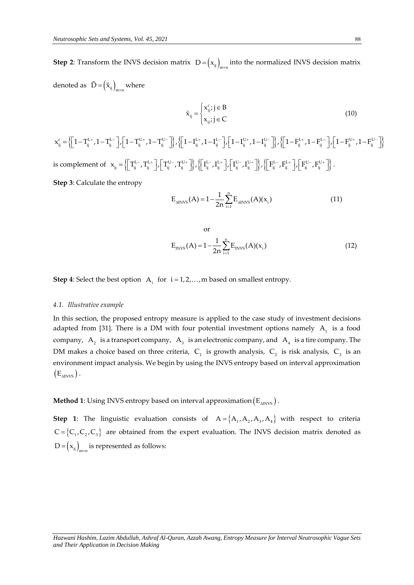**Step 2**: Transform the INVS decision matrix  $D = (x_{ij})_{m \times n}$  into the normalized INVS decision matrix denoted as  $\tilde{D} = (\tilde{x}_{ij})_{m \times n}$  where

$$
\tilde{\mathbf{x}}_{ij} = \begin{cases} \mathbf{x}_{ij}^c; j \in \mathbf{B} \\ \mathbf{x}_{ij}; j \in \mathbf{C} \end{cases}
$$
\n(10)

 $\begin{equation} \begin{bmatrix} \mathbf{c}_i \\ \mathbf{c}_j \end{bmatrix} = \left\{ \begin{bmatrix} 1-\mathbf{T}^{\mathrm{L+}}_{ij}, 1-\mathbf{T}^{\mathrm{L-}}_{ij} \end{bmatrix}, \begin{bmatrix} 1-\mathbf{T}^{\mathrm{U+}}_{ij}, 1-\mathbf{T}^{\mathrm{U-}}_{ij} \end{bmatrix} \right\}, \left\{ \begin{bmatrix} 1-\mathbf{I}^{\mathrm{L+}}_{ij}, 1-\mathbf{I}^{\mathrm{L-}}_{ij} \end{bmatrix}, \begin{bmatrix} 1-\mathbf{I}^{\mathrm{U+}}_{ij}, 1-\mathbf{I}^{\$  $\tilde{x}_{ij} = \begin{cases} x_{ij}^c; j \in B \\ x_{ij}; j \in C \end{cases}$ (10)<br>  $x_{ij}^c = \left\{ \left[1 - T_{ij}^{L+}, 1 - T_{ij}^{L-} \right], \left[1 - T_{ij}^{U+}, 1 - T_{ij}^{U-} \right] \right\}, \left\{ \left[1 - I_{ij}^{L+}, 1 - I_{ij}^{L-} \right], \left[1 - T_{ij}^{U+}, 1 - T_{ij}^{U-} \right] \right\}, \left\{ \left[1 - T_{ij}^{L+}, 1 - T_{ij}^{L-} \right], \left[1 - T_{ij}^{U$ is complement of  $\mathbf{x}_{ij} = \left\{ \left[ \mathbf{T}_{ij}^{L-}, \mathbf{T}_{ij}^{L+} \right], \left[ \mathbf{T}_{ij}^{U-}, \mathbf{T}_{ij}^{U+} \right] \right\}, \left\{ \left[ \mathbf{I}_{ij}^{L-}, \mathbf{I}_{ij}^{L+} \right], \left[ \mathbf{I}_{ij}^{U-}, \mathbf{I}_{ij}^{U+} \right] \right\}, \left\{ \left[ \mathbf{F}_{ij}^{L-}, \mathbf{F}_{ij}^{L+} \right], \left[ \mathbf{F}_{ij}^{U-}, \mathbf{F}_{ij}^{U+} \right$  $\begin{split} &\mathbf{x}_{ij} = \left\{ \left[ \mathbf{T}_{ij}^{\text{L} -}, \mathbf{T}_{ij}^{\text{L} +}, \mathbf{T}^{-\text{U} -}_{ij} \right] \right\} / \left\{ \left[ \mathbf{1} - \mathbf{I}_{ij}^{\text{L} +}, \mathbf{1} - \mathbf{I}_{ij}^{\text{U} -} \right] \right\} / \left\{ \left[ \mathbf{1} - \mathbf{I}_{ij}^{\text{L} +}, \mathbf{T}^{-\text{U} -}_{ij} \right] \right\} / \left\{ \left[ \mathbf{1} - \mathbf{F}_{ij}^{\text{L} +}, \math$ . **Step 3**: Calculate the entropy

$$
E_{\text{aINVS}}(A) = 1 - \frac{1}{2n} \sum_{i=1}^{n} E_{\text{aINVS}}(A)(x_i)
$$
 (11)

or  

$$
E_{INVS}(A) = 1 - \frac{1}{2n} \sum_{i=1}^{n} E_{INVS}(A)(x_i)
$$
(12)

**Step 4**: Select the best option  $A_i$  for  $i = 1, 2, ..., m$  based on smallest entropy.

#### *4.1. Illustrative example*

In this section, the proposed entropy measure is applied to the case study of investment decisions adapted from [31]. There is a DM with four potential investment options namely  $A_1$  is a food company,  $A_2$  is a transport company,  $A_3$  is an electronic company, and  $A_4$  is a tire company. The DM makes a choice based on three criteria,  $C_1$  is growth analysis,  $C_2$  is risk analysis,  $C_3$  is an environment impact analysis. We begin by using the INVS entropy based on interval approximation  $(E_{\text{ANNVS}})$ .

**Method 1**: Using INVS entropy based on interval approximation  $\left(E_{_{\Delta\text{INVS}}}\right)$  .

**Step 1**: The linguistic evaluation consists of  $A = \{A_1, A_2, A_3, A_4\}$  with respect to criteria  $C = \{C_1, C_2, C_3\}$  are obtained from the expert evaluation. The INVS decision matrix denoted as  $D = (x_{ij})_{m \times n}$  is represented as follows: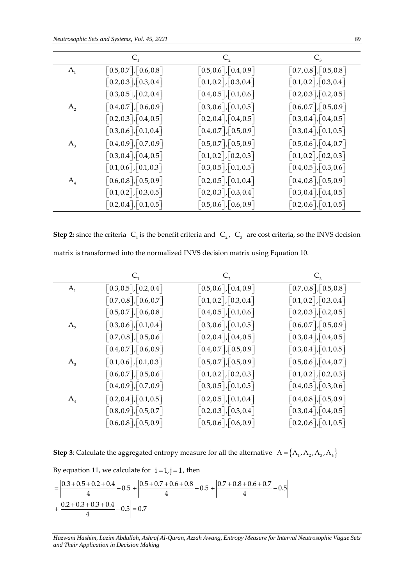|                                                  | $C_{2}$                                          | $C_{3}$                                          |
|--------------------------------------------------|--------------------------------------------------|--------------------------------------------------|
| $\lceil 0.5, 0.7 \rceil, \lceil 0.6, 0.8 \rceil$ | $\lceil 0.5, 0.6 \rceil, \lceil 0.4, 0.9 \rceil$ | $\lceil 0.7, 0.8 \rceil, \lceil 0.5, 0.8 \rceil$ |
| $\lceil 0.2, 0.3 \rceil, \lceil 0.3, 0.4 \rceil$ | $\lceil 0.1, 0.2 \rceil, \lceil 0.3, 0.4 \rceil$ | $\lceil 0.1, 0.2 \rceil, \lceil 0.3, 0.4 \rceil$ |
| $\lceil 0.3, 0.5 \rceil, \lceil 0.2, 0.4 \rceil$ | $\lceil 0.4, 0.5 \rceil, \lceil 0.1, 0.6 \rceil$ | $\lceil 0.2, 0.3 \rceil, \lceil 0.2, 0.5 \rceil$ |
| $\lceil 0.4, 0.7 \rceil, \lceil 0.6, 0.9 \rceil$ | $\lceil 0.3, 0.6 \rceil, \lceil 0.1, 0.5 \rceil$ | $\left[0.6, 0.7\right], \left[0.5, 0.9\right]$   |
| $\left[0.2, 0.3\right], \left[0.4, 0.5\right]$   | $\lceil 0.2, 0.4 \rceil, \lceil 0.4, 0.5 \rceil$ | $\lceil 0.3, 0.4 \rceil, \lceil 0.4, 0.5 \rceil$ |
| $\vert 0.3, 0.6 \vert, 0.1, 0.4 \vert$           | $\vert 0.4, 0.7 \vert, \vert 0.5, 0.9 \vert$     | $\vert 0.3, 0.4 \vert, \vert 0.1, 0.5 \vert$     |
| $\lceil 0.4, 0.9 \rceil, \lceil 0.7, 0.9 \rceil$ | $\lceil 0.5, 0.7 \rceil, \lceil 0.5, 0.9 \rceil$ | $\lceil 0.5, 0.6 \rceil, \lceil 0.4, 0.7 \rceil$ |
| $\left[0.3, 0.4\right], \left[0.4, 0.5\right]$   | $\lceil 0.1, 0.2 \rceil, \lceil 0.2, 0.3 \rceil$ | $\left[0.1,0.2\right], \left[0.2,0.3\right]$     |
| $\lceil 0.1, 0.6 \rceil, \lceil 0.1, 0.3 \rceil$ | $\lceil 0.3, 0.5 \rceil, \lceil 0.1, 0.5 \rceil$ | $\lceil 0.4, 0.5 \rceil, \lceil 0.3, 0.6 \rceil$ |
| $\lceil 0.6, 0.8 \rceil, \lceil 0.5, 0.9 \rceil$ | $\lceil 0.2, 0.5 \rceil, \lceil 0.1, 0.4 \rceil$ | $\lceil 0.4, 0.8 \rceil, \lceil 0.5, 0.9 \rceil$ |
| $\lceil 0.1, 0.2 \rceil, \lceil 0.3, 0.5 \rceil$ | $\lceil 0.2, 0.3 \rceil, \lceil 0.3, 0.4 \rceil$ | $\lceil 0.3, 0.4 \rceil, \lceil 0.4, 0.5 \rceil$ |
| $\lceil 0.2, 0.4 \rceil, \lceil 0.1, 0.5 \rceil$ | $\lceil 0.5, 0.6 \rceil, \lceil 0.6, 0.9 \rceil$ | $\lceil 0.2, 0.6 \rceil, \lceil 0.1, 0.5 \rceil$ |
|                                                  |                                                  |                                                  |

**Step 2:** since the criteria  $C_1$  is the benefit criteria and  $C_2$ ,  $C_3$  are cost criteria, so the INVS decision matrix is transformed into the normalized INVS decision matrix using Equation 10.

| A <sub>1</sub> |                                                       |                                                                                                                           |                                                             |
|----------------|-------------------------------------------------------|---------------------------------------------------------------------------------------------------------------------------|-------------------------------------------------------------|
|                | $\lceil 0.5, 0.7 \rceil, \lceil 0.6, 0.8 \rceil$      | $\lceil 0.5, 0.6 \rceil, \lceil 0.4, 0.9 \rceil$                                                                          | $\lceil 0.7, 0.8 \rceil, \lceil 0.5, 0.8 \rceil$            |
|                | $\lceil 0.2, 0.3 \rceil, \lceil 0.3, 0.4 \rceil$      | $\lceil 0.1, 0.2 \rceil, \lceil 0.3, 0.4 \rceil$                                                                          | $\lceil 0.1, 0.2 \rceil, \lceil 0.3, 0.4 \rceil$            |
|                | $\lceil 0.3, 0.5 \rceil, \lceil 0.2, 0.4 \rceil$      | $\left[0.4,0.5\right],\left[0.1,0.6\right]$                                                                               | $\lceil 0.2, 0.3 \rceil, \lceil 0.2, 0.5 \rceil$            |
| A <sub>2</sub> | $\lceil 0.4, 0.7 \rceil, \lceil 0.6, 0.9 \rceil$      | $\lceil 0.3, 0.6 \rceil, \lceil 0.1, 0.5 \rceil$                                                                          | $\lceil 0.6, 0.7 \rceil, \lceil 0.5, 0.9 \rceil$            |
|                | $\lceil 0.2, 0.3 \rceil, \lceil 0.4, 0.5 \rceil$      | $\lceil 0.2, 0.4 \rceil, \lceil 0.4, 0.5 \rceil$                                                                          | $\lceil 0.3, 0.4 \rceil, \lceil 0.4, 0.5 \rceil$            |
|                | $\lceil 0.3, 0.6 \rceil, \lceil 0.1, 0.4 \rceil$      | $\lceil 0.4, 0.7 \rceil, \lceil 0.5, 0.9 \rceil$                                                                          | $\lceil 0.3, 0.4 \rceil, \lceil 0.1, 0.5 \rceil$            |
| $\mathbf{A}_3$ | $\lceil 0.4, 0.9 \rceil, \lceil 0.7, 0.9 \rceil$      | $\lceil 0.5, 0.7 \rceil, \lceil 0.5, 0.9 \rceil$                                                                          | $\lceil 0.5, 0.6 \rceil, \lceil 0.4, 0.7 \rceil$            |
|                | $\lceil 0.3, 0.4 \rceil, \lceil 0.4, 0.5 \rceil$      | $\lceil 0.1, 0.2 \rceil, \lceil 0.2, 0.3 \rceil$                                                                          | $\left[0.1, 0.2\right], \left[0.2, 0.3\right]$              |
|                | $\lceil 0.1, 0.6 \rceil, \lceil 0.1, 0.3 \rceil$      | $\lceil 0.3, 0.5 \rceil, \lceil 0.1, 0.5 \rceil$                                                                          | $\lceil 0.4, 0.5 \rceil, \lceil 0.3, 0.6 \rceil$            |
| $A_{4}$        | $\lceil 0.6, 0.8 \rceil, \lceil 0.5, 0.9 \rceil$      | $\lceil 0.2, 0.5 \rceil, \lceil 0.1, 0.4 \rceil$                                                                          | $\lceil 0.4, 0.8 \rceil, \lceil 0.5, 0.9 \rceil$            |
|                | $\lceil 0.1, 0.2 \rceil, \lceil 0.3, 0.5 \rceil$      | $\lceil 0.2, 0.3 \rceil, \lceil 0.3, 0.4 \rceil$                                                                          | $\lceil 0.3, 0.4 \rceil, \lceil 0.4, 0.5 \rceil$            |
|                | $\lceil 0.2, 0.4 \rceil, \lceil 0.1, 0.5 \rceil$      | $\lceil 0.5, 0.6 \rceil, \lceil 0.6, 0.9 \rceil$                                                                          | $\lceil 0.2, 0.6 \rceil, \lceil 0.1, 0.5 \rceil$            |
|                |                                                       | <b>Step 2:</b> since the criteria $C_1$ is the benefit criteria and $C_2$ , $C_3$ are cost criteria, so the INVS decision |                                                             |
|                |                                                       | matrix is transformed into the normalized INVS decision matrix using Equation 10.                                         |                                                             |
|                | $C_{1}$                                               | $C_{2}$                                                                                                                   |                                                             |
| A <sub>1</sub> | $\lceil 0.3, 0.5 \rceil, \lceil 0.2, 0.4 \rceil$      | $\lceil 0.5, 0.6 \rceil, \lceil 0.4, 0.9 \rceil$                                                                          | $C_{3}$<br>$\lceil 0.7, 0.8 \rceil, \lceil 0.5, 0.8 \rceil$ |
|                | $\lceil 0.7, 0.8 \rceil, \lceil 0.6, 0.7 \rceil$      | $\lceil 0.1, 0.2 \rceil, \lceil 0.3, 0.4 \rceil$                                                                          | $\lceil 0.1, 0.2 \rceil, \lceil 0.3, 0.4 \rceil$            |
|                | $\left[0.5,0.7\right],\left\lceil0.6,0.8\right\rceil$ | $\lceil 0.4, 0.5 \rceil, \lceil 0.1, 0.6 \rceil$                                                                          | $\left[0.2,0.3\right],\left[0.2,0.5\right]$                 |
| A <sub>2</sub> | $\lceil 0.3, 0.6 \rceil, \lceil 0.1, 0.4 \rceil$      | $\lceil 0.3, 0.6 \rceil, \lceil 0.1, 0.5 \rceil$                                                                          | $\lceil 0.6, 0.7 \rceil, \lceil 0.5, 0.9 \rceil$            |
|                | $\lceil 0.7, 0.8 \rceil, \lceil 0.5, 0.6 \rceil$      | $\lceil 0.2, 0.4 \rceil, \lceil 0.4, 0.5 \rceil$                                                                          | $\lceil 0.3, 0.4 \rceil, \lceil 0.4, 0.5 \rceil$            |
|                | $\lceil 0.4, 0.7 \rceil, \lceil 0.6, 0.9 \rceil$      | $\lceil 0.4, 0.7 \rceil, \lceil 0.5, 0.9 \rceil$                                                                          | $\lceil 0.3, 0.4 \rceil, \lceil 0.1, 0.5 \rceil$            |
| $A_{3}$        | $\left[0.1, 0.6\right], \left[0.1, 0.3\right]$        | $\begin{bmatrix} 0.5, 0.7 \end{bmatrix}$ , $\begin{bmatrix} 0.5, 0.9 \end{bmatrix}$                                       | $\lceil 0.5, 0.6 \rceil, \lceil 0.4, 0.7 \rceil$            |
|                | $\lceil 0.6, 0.7 \rceil, \lceil 0.5, 0.6 \rceil$      | $\lceil 0.1, 0.2 \rceil, \lceil 0.2, 0.3 \rceil$                                                                          | $\lceil 0.1, 0.2 \rceil, \lceil 0.2, 0.3 \rceil$            |
|                | $\lceil 0.4, 0.9 \rceil, \lceil 0.7, 0.9 \rceil$      | $\lceil 0.3, 0.5 \rceil, \lceil 0.1, 0.5 \rceil$                                                                          | $\lceil 0.4, 0.5 \rceil, \lceil 0.3, 0.6 \rceil$            |
| A <sub>4</sub> | $\lceil 0.2, 0.4 \rceil, \lceil 0.1, 0.5 \rceil$      | $\lceil 0.2, 0.5 \rceil, \lceil 0.1, 0.4 \rceil$                                                                          | $\lceil 0.4, 0.8 \rceil, \lceil 0.5, 0.9 \rceil$            |
|                | $\lceil 0.8, 0.9 \rceil, \lceil 0.5, 0.7 \rceil$      | $\lceil 0.2, 0.3 \rceil, \lceil 0.3, 0.4 \rceil$<br>$\lceil 0.5, 0.6 \rceil, \lceil 0.6, 0.9 \rceil$                      | $\lceil 0.3, 0.4 \rceil, \lceil 0.4, 0.5 \rceil$            |

**Step 3**: Calculate the aggregated entropy measure for all the alternative  $A = \{A_1, A_2, A_3, A_4\}$ 

By equation 11, we calculate for 
$$
i = 1
$$
,  $j = 1$ , then  
\n
$$
= \left| \frac{0.3 + 0.5 + 0.2 + 0.4}{4} - 0.5 \right| + \left| \frac{0.5 + 0.7 + 0.6 + 0.8}{4} - 0.5 \right| + \left| \frac{0.7 + 0.8 + 0.6 + 0.7}{4} - 0.5 \right|
$$
\n
$$
+ \left| \frac{0.2 + 0.3 + 0.3 + 0.4}{4} - 0.5 \right| = 0.7
$$

*Hazwani Hashim, Lazim Abdullah, Ashraf Al-Quran, Azzah Awang, Entropy Measure for Interval Neutrosophic Vague Sets*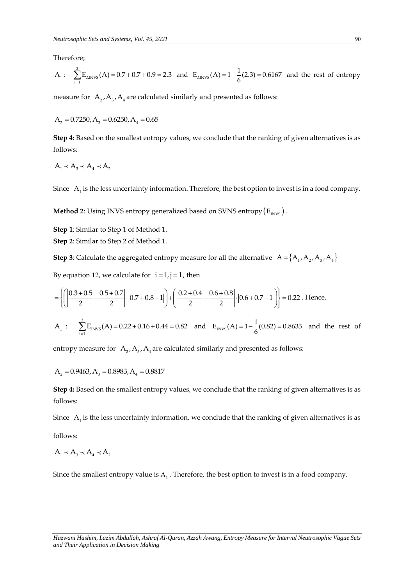Therefore;

$$
A_1: \quad \sum_{i=1}^{3} E_{\text{aINVS}}(A) = 0.7 + 0.7 + 0.9 = 2.3 \quad \text{and} \quad E_{\text{aINVS}}(A) = 1 - \frac{1}{6}(2.3) = 0.6167 \quad \text{and the rest of entropy}
$$

measure for  $A_2$ ,  $A_3$ ,  $A_4$  are calculated similarly and presented as follows:

$$
A_2 = 0.7250, A_3 = 0.6250, A_4 = 0.65
$$

**Step 4:** Based on the smallest entropy values, we conclude that the ranking of given alternatives is as follows:

$$
A_1 \prec A_3 \prec A_4 \prec A_2
$$

Since A<sub>1</sub> is the less uncertainty information. Therefore, the best option to invest is in a food company.

**Method 2**: Using INVS entropy generalized based on SVNS entropy  $\left(E_{\text{\tiny{INVS}}}\right)$ .

**Step 1**: Similar to Step 1 of Method 1.

**Step 2**: Similar to Step 2 of Method 1.

**Step 3**: Calculate the aggregated entropy measure for all the alternative  $A = \{A_1, A_2, A_3, A_4\}$ 

By equation 12, we calculate for 
$$
i = 1, j = 1
$$
, then  
\n
$$
= \left\{ \left( \left| \frac{0.3 + 0.5}{2} - \frac{0.5 + 0.7}{2} \right| \cdot \left| 0.7 + 0.8 - 1 \right| \right) + \left( \left| \frac{0.2 + 0.4}{2} - \frac{0.6 + 0.8}{2} \right| \cdot \left| 0.6 + 0.7 - 1 \right| \right) \right\} = 0.22. \text{ Hence,}
$$
\nA<sub>1</sub>:  $\sum_{i=1}^{3} E_{\text{INVS}}(A) = 0.22 + 0.16 + 0.44 = 0.82$  and  $E_{\text{INVS}}(A) = 1 - \frac{1}{6}(0.82) = 0.8633$  and the rest of

entropy measure for  $A_2$ , $A_3$ , $A_4$  are calculated similarly and presented as follows:

$$
A_2 = 0.9463, A_3 = 0.8983, A_4 = 0.8817
$$

**Step 4:** Based on the smallest entropy values, we conclude that the ranking of given alternatives is as follows:

Since  $A_1$  is the less uncertainty information, we conclude that the ranking of given alternatives is as follows:

$$
A_1 \prec A_3 \prec A_4 \prec A_2
$$

Since the smallest entropy value is  $A_1$ . Therefore, the best option to invest is in a food company.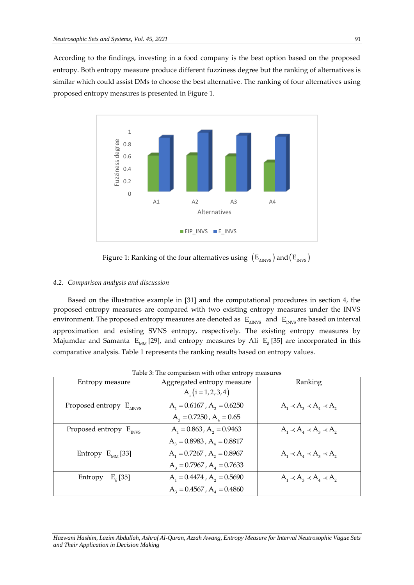According to the findings, investing in a food company is the best option based on the proposed entropy. Both entropy measure produce different fuzziness degree but the ranking of alternatives is similar which could assist DMs to choose the best alternative. The ranking of four alternatives using proposed entropy measures is presented in Figure 1.



Figure 1: Ranking of the four alternatives using  $\rm\ (E_{\rm \scriptscriptstyle MNVS})$  and  $\rm\ (E_{\rm \scriptscriptstyle INVS})$ 

#### *4.2. Comparison analysis and discussion*

Based on the illustrative example in [31] and the computational procedures in section 4, the proposed entropy measures are compared with two existing entropy measures under the INVS environment. The proposed entropy measures are denoted as  $\rm\,E_{\rm\,\,MWS}$  and  $\rm\,E_{\rm\,\,NVS}$  are based on interval approximation and existing SVNS entropy, respectively. The existing entropy measures by Majumdar and Samanta  $\rm \ E_{_{MM}}$ [29], and entropy measures by Ali  $\rm \ E_{_{\cal S}}$ [35] are incorporated in this comparative analysis. Table 1 represents the ranking results based on entropy values.

|                                     | racio e, rue comparison while other entropy measures |                                     |
|-------------------------------------|------------------------------------------------------|-------------------------------------|
| Entropy measure                     | Aggregated entropy measure                           | Ranking                             |
|                                     | $A_i(i = 1, 2, 3, 4)$                                |                                     |
| Proposed entropy $E_{\text{aINVS}}$ | $A_1 = 0.6167$ , $A_2 = 0.6250$                      | $A_1 \prec A_2 \prec A_4 \prec A_2$ |
|                                     | $A_3 = 0.7250$ , $A_4 = 0.65$                        |                                     |
| Proposed entropy $E_{INVS}$         | $A_1 = 0.863$ , $A_2 = 0.9463$                       | $A_1 \prec A_4 \prec A_3 \prec A_2$ |
|                                     | $A_3 = 0.8983$ , $A_4 = 0.8817$                      |                                     |
| Entropy $E_{MM}$ [33]               | $A_1 = 0.7267$ , $A_2 = 0.8967$                      | $A_1 \prec A_4 \prec A_3 \prec A_2$ |
|                                     | $A_3 = 0.7967$ , $A_4 = 0.7633$                      |                                     |
| $E_{s}$ [35]<br>Entropy             | $A_1 = 0.4474$ , $A_2 = 0.5690$                      | $A_1 \prec A_2 \prec A_4 \prec A_2$ |
|                                     | $A_3 = 0.4567$ , $A_4 = 0.4860$                      |                                     |

Table 3: The comparison with other entropy measures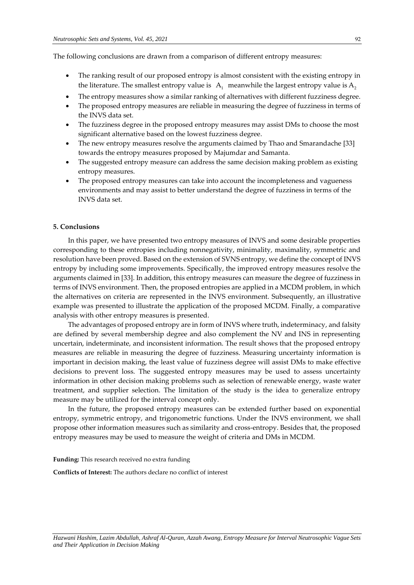The following conclusions are drawn from a comparison of different entropy measures:

- The ranking result of our proposed entropy is almost consistent with the existing entropy in the literature. The smallest entropy value is  $A_1$  meanwhile the largest entropy value is  $A_2$
- The entropy measures show a similar ranking of alternatives with different fuzziness degree.
- The proposed entropy measures are reliable in measuring the degree of fuzziness in terms of the INVS data set.
- The fuzziness degree in the proposed entropy measures may assist DMs to choose the most significant alternative based on the lowest fuzziness degree.
- The new entropy measures resolve the arguments claimed by Thao and Smarandache [33] towards the entropy measures proposed by Majumdar and Samanta.
- The suggested entropy measure can address the same decision making problem as existing entropy measures.
- The proposed entropy measures can take into account the incompleteness and vagueness environments and may assist to better understand the degree of fuzziness in terms of the INVS data set.

# **5. Conclusions**

In this paper, we have presented two entropy measures of INVS and some desirable properties corresponding to these entropies including nonnegativity, minimality, maximality, symmetric and resolution have been proved. Based on the extension of SVNS entropy, we define the concept of INVS entropy by including some improvements. Specifically, the improved entropy measures resolve the arguments claimed in [33]. In addition, this entropy measures can measure the degree of fuzziness in terms of INVS environment. Then, the proposed entropies are applied in a MCDM problem, in which the alternatives on criteria are represented in the INVS environment. Subsequently, an illustrative example was presented to illustrate the application of the proposed MCDM. Finally, a comparative analysis with other entropy measures is presented.

The advantages of proposed entropy are in form of INVS where truth, indeterminacy, and falsity are defined by several membership degree and also complement the NV and INS in representing uncertain, indeterminate, and inconsistent information. The result shows that the proposed entropy measures are reliable in measuring the degree of fuzziness. Measuring uncertainty information is important in decision making, the least value of fuzziness degree will assist DMs to make effective decisions to prevent loss. The suggested entropy measures may be used to assess uncertainty information in other decision making problems such as selection of renewable energy, waste water treatment, and supplier selection. The limitation of the study is the idea to generalize entropy measure may be utilized for the interval concept only.

In the future, the proposed entropy measures can be extended further based on exponential entropy, symmetric entropy, and trigonometric functions. Under the INVS environment, we shall propose other information measures such as similarity and cross-entropy. Besides that, the proposed entropy measures may be used to measure the weight of criteria and DMs in MCDM.

**Funding:** This research received no extra funding

**Conflicts of Interest:** The authors declare no conflict of interest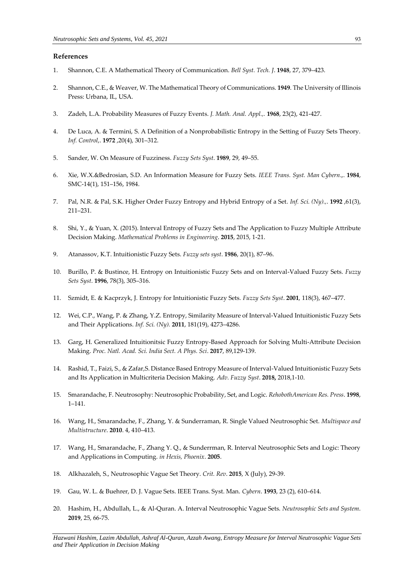# **References**

- 1. Shannon, C.E. A Mathematical Theory of Communication. *Bell Syst. Tech. J*. **1948**, 27, 379–423.
- 2. Shannon, C.E., & Weaver, W. The Mathematical Theory of Communications. **1949**. The University of Illinois Press: Urbana, IL, USA.
- 3. Zadeh, L.A. Probability Measures of Fuzzy Events. *J. Math. Anal. Appl.,.* **1968**, 23(2), 421-427.
- 4. De Luca, A. & Termini, S. A Definition of a Nonprobabilistic Entropy in the Setting of Fuzzy Sets Theory. *Inf. Control*,. **1972** ,20(4), 301–312.
- 5. Sander, W. On Measure of Fuzziness. *Fuzzy Sets Syst*. **1989**, 29, 49–55.
- 6. Xie, W.X.&Bedrosian, S.D. An Information Measure for Fuzzy Sets. *IEEE Trans. Syst. Man Cybern*.,. **1984**, SMC-14(1), 151–156, 1984.
- 7. Pal, N.R. & Pal, S.K. Higher Order Fuzzy Entropy and Hybrid Entropy of a Set. *Inf. Sci. (Ny).,*. **1992** ,61(3), 211–231.
- 8. Shi, Y., & Yuan, X. (2015). Interval Entropy of Fuzzy Sets and The Application to Fuzzy Multiple Attribute Decision Making. *Mathematical Problems in Engineering*. **2015**, 2015, 1-21.
- 9. Atanassov, K.T. Intuitionistic Fuzzy Sets. *Fuzzy sets syst*. **1986**, 20(1), 87–96.
- 10. Burillo, P. & Bustince, H. Entropy on Intuitionistic Fuzzy Sets and on Interval-Valued Fuzzy Sets. *Fuzzy Sets Syst*. **1996**, 78(3), 305–316.
- 11. Szmidt, E. & Kacprzyk, J. Entropy for Intuitionistic Fuzzy Sets. *Fuzzy Sets Syst*. **2001**, 118(3), 467–477.
- 12. Wei, C.P., Wang, P. & Zhang, Y.Z. Entropy, Similarity Measure of Interval-Valued Intuitionistic Fuzzy Sets and Their Applications. *Inf. Sci. (Ny).* **2011**, 181(19), 4273–4286.
- 13. Garg, H. Generalized Intuitionitsic Fuzzy Entropy-Based Approach for Solving Multi-Attribute Decision Making. *Proc. Natl. Acad. Sci. India Sect. A Phys. Sci*. **2017**, 89,129-139.
- 14. Rashid, T., Faizi, S., & Zafar,S. Distance Based Entropy Measure of Interval-Valued Intuitionistic Fuzzy Sets and Its Application in Multicriteria Decision Making. *Adv. Fuzzy Syst*. **2018,** 2018,1-10.
- 15. Smarandache, F. Neutrosophy: Neutrosophic Probability, Set, and Logic. *RehobothAmerican Res. Press*. **1998**, 1–141.
- 16. Wang, H., Smarandache, F., Zhang, Y. & Sunderraman, R. Single Valued Neutrosophic Set. *Multispace and Multistructure*. **2010**. 4, 410–413.
- 17. Wang, H., Smarandache, F., Zhang Y. Q., & Sunderrman, R. Interval Neutrosophic Sets and Logic: Theory and Applications in Computing. *in Hexis, Phoenix*. **2005**.
- 18. Alkhazaleh, S., Neutrosophic Vague Set Theory. *Crit. Rev*. **2015**, X (July), 29-39.
- 19. Gau, W. L. & Buehrer, D. J. Vague Sets. IEEE Trans. Syst. Man. *Cybern*. **1993**, 23 (2), 610–614.
- 20. Hashim, H., Abdullah, L., & Al-Quran. A. Interval Neutrosophic Vague Sets. *Neutrosophic Sets and System*. **2019**, 25, 66-75.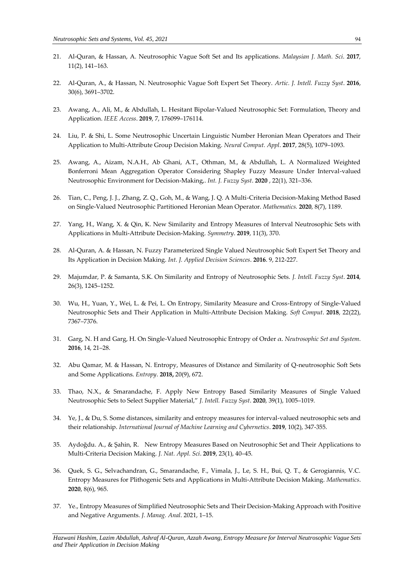- 21. Al-Quran, & Hassan, A. Neutrosophic Vague Soft Set and Its applications. *Malaysian J. Math. Sci*. **2017**, 11(2), 141–163.
- 22. Al-Quran, A., & Hassan, N. Neutrosophic Vague Soft Expert Set Theory. *Artic. J. Intell. Fuzzy Syst*. **2016**, 30(6), 3691–3702.
- 23. Awang, A., Ali, M., & Abdullah, L. Hesitant Bipolar-Valued Neutrosophic Set: Formulation, Theory and Application. *IEEE Access*. **2019**, 7, 176099–176114.
- 24. Liu, P. & Shi, L. Some Neutrosophic Uncertain Linguistic Number Heronian Mean Operators and Their Application to Multi-Attribute Group Decision Making. *Neural Comput. Appl*. **2017**, 28(5), 1079–1093.
- 25. Awang, A., Aizam, N.A.H., Ab Ghani, A.T., Othman, M., & Abdullah, L. A Normalized Weighted Bonferroni Mean Aggregation Operator Considering Shapley Fuzzy Measure Under Interval-valued Neutrosophic Environment for Decision-Making,. *Int. J. Fuzzy Syst*. **2020** , 22(1), 321–336.
- 26. Tian, C., Peng, J. J., Zhang, Z. Q., Goh, M., & Wang, J. Q. A Multi-Criteria Decision-Making Method Based on Single-Valued Neutrosophic Partitioned Heronian Mean Operator. *Mathematics.* **2020**, 8(7), 1189.
- 27. Yang, H., Wang, X. & Qin, K. New Similarity and Entropy Measures of Interval Neutrosophic Sets with Applications in Multi-Attribute Decision-Making. *Symmetry*. **2019**, 11(3), 370.
- 28. Al-Quran, A. & Hassan, N. Fuzzy Parameterized Single Valued Neutrosophic Soft Expert Set Theory and Its Application in Decision Making. *Int. J. Applied Decision Sciences*. **2016**. 9, 212-227.
- 29. Majumdar, P. & Samanta, S.K. On Similarity and Entropy of Neutrosophic Sets. *J. Intell. Fuzzy Syst*. **2014**, 26(3), 1245–1252.
- 30. Wu, H., Yuan, Y., Wei, L. & Pei, L. On Entropy, Similarity Measure and Cross-Entropy of Single-Valued Neutrosophic Sets and Their Application in Multi-Attribute Decision Making. *Soft Comput*. **2018**, 22(22), 7367–7376.
- 31. Garg, N. H and Garg, H. On Single-Valued Neutrosophic Entropy of Order α. *Neutrosophic Set and System*. **2016**, 14, 21–28.
- 32. Abu Qamar, M. & Hassan, N. Entropy, Measures of Distance and Similarity of Q-neutrosophic Soft Sets and Some Applications. *Entropy*. **2018,** 20(9), 672.
- 33. Thao, N.X., & Smarandache, F. Apply New Entropy Based Similarity Measures of Single Valued Neutrosophic Sets to Select Supplier Material," *J. Intell. Fuzzy Syst*. **2020**, 39(1), 1005–1019.
- 34. Ye, J., & Du, S. Some distances, similarity and entropy measures for interval-valued neutrosophic sets and their relationship. *International Journal of Machine Learning and Cybernetics*. **2019**, 10(2), 347-355.
- 35. Aydoğdu. A., & Şahin, R. New Entropy Measures Based on Neutrosophic Set and Their Applications to Multi-Criteria Decision Making. *J. Nat. Appl. Sci*. **2019**, 23(1), 40–45.
- 36. Quek, S. G., Selvachandran, G., Smarandache, F., Vimala, J., Le, S. H., Bui, Q. T., & Gerogiannis, V.C. Entropy Measures for Plithogenic Sets and Applications in Multi-Attribute Decision Making. *Mathematics*. **2020**, 8(6), 965.
- 37. Ye., Entropy Measures of Simplified Neutrosophic Sets and Their Decision-Making Approach with Positive and Negative Arguments. *J. Manag. Anal*. 2021, 1–15.